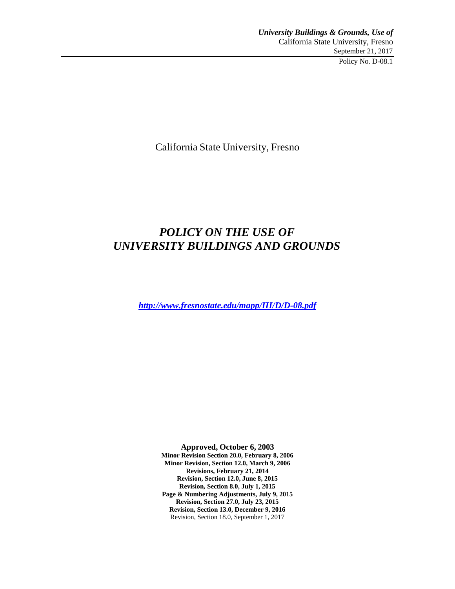California State University, Fresno

# *POLICY ON THE USE OF UNIVERSITY BUILDINGS AND GROUNDS*

*<http://www.fresnostate.edu/mapp/III/D/D-08.pdf>*

**Approved, October 6, 2003 Minor Revision Section 20.0, February 8, 2006 Minor Revision, Section 12.0, March 9, 2006 Revisions, February 21, 2014 Revision, Section 12.0, June 8, 2015 Revision, Section 8.0, July 1, 2015 Page & Numbering Adjustments, July 9, 2015 Revision, Section 27.0, July 23, 2015 Revision, Section 13.0, December 9, 2016** Revision, Section 18.0, September 1, 2017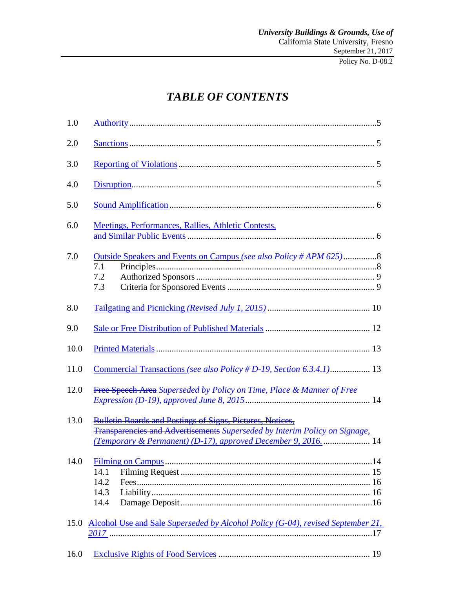# *TABLE OF CONTENTS*

| 1.0  |                                                                                                                                                                                                                  |
|------|------------------------------------------------------------------------------------------------------------------------------------------------------------------------------------------------------------------|
| 2.0  |                                                                                                                                                                                                                  |
| 3.0  |                                                                                                                                                                                                                  |
| 4.0  |                                                                                                                                                                                                                  |
| 5.0  |                                                                                                                                                                                                                  |
| 6.0  | Meetings, Performances, Rallies, Athletic Contests,                                                                                                                                                              |
| 7.0  | <u>Outside Speakers and Events on Campus (see also Policy # APM 625)</u> 8<br>7.1<br>7.2<br>7.3                                                                                                                  |
| 8.0  |                                                                                                                                                                                                                  |
| 9.0  |                                                                                                                                                                                                                  |
| 10.0 |                                                                                                                                                                                                                  |
| 11.0 |                                                                                                                                                                                                                  |
| 12.0 | Free Speech Area Superseded by Policy on Time, Place & Manner of Free                                                                                                                                            |
| 13.0 | <b>Bulletin Boards and Postings of Signs, Pictures, Notices,</b><br>Transparencies and Advertisements Superseded by Interim Policy on Signage,<br>(Temporary & Permanent) (D-17), approved December 9, 2016.  14 |
| 14.0 | 14.1<br>14.2<br>14.3<br>14.4                                                                                                                                                                                     |
| 15.0 | Alcohol Use and Sale Superseded by Alcohol Policy (G-04), revised September 21,                                                                                                                                  |
| 16.0 |                                                                                                                                                                                                                  |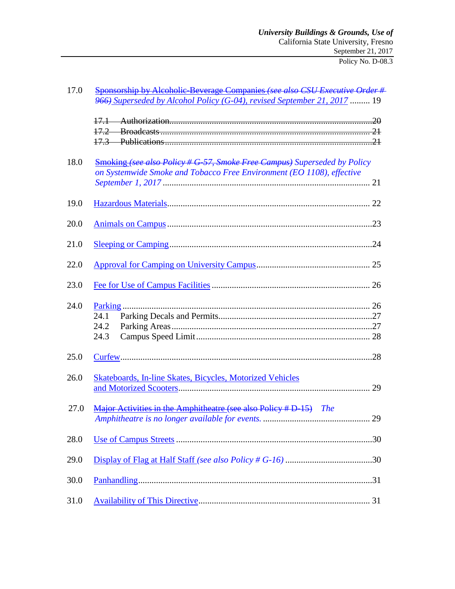| 17.0 | Sponsorship by Alcoholic-Beverage Companies (see also CSU Executive Order #                                                                              |  |
|------|----------------------------------------------------------------------------------------------------------------------------------------------------------|--|
|      | 966) Superseded by Alcohol Policy (G-04), revised September 21, 2017  19                                                                                 |  |
|      |                                                                                                                                                          |  |
| 18.0 | <b>Smoking (see also Policy # G-57, Smoke Free Campus)</b> Superseded by Policy<br>on Systemwide Smoke and Tobacco Free Environment (EO 1108), effective |  |
| 19.0 |                                                                                                                                                          |  |
| 20.0 |                                                                                                                                                          |  |
| 21.0 |                                                                                                                                                          |  |
| 22.0 |                                                                                                                                                          |  |
| 23.0 |                                                                                                                                                          |  |
| 24.0 | 24.1<br>24.2<br>24.3                                                                                                                                     |  |
| 25.0 |                                                                                                                                                          |  |
| 26.0 | <b>Skateboards, In-line Skates, Bicycles, Motorized Vehicles</b>                                                                                         |  |
| 27.0 | Major Activities in the Amphitheatre (see also Policy # D-15) The                                                                                        |  |
| 28.0 |                                                                                                                                                          |  |
| 29.0 |                                                                                                                                                          |  |
| 30.0 |                                                                                                                                                          |  |
| 31.0 |                                                                                                                                                          |  |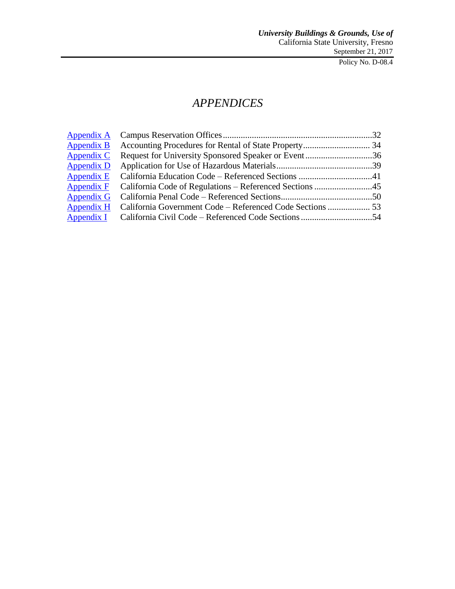# *APPENDICES*

| Appendix C Request for University Sponsored Speaker or Event36 |  |
|----------------------------------------------------------------|--|
|                                                                |  |
|                                                                |  |
|                                                                |  |
|                                                                |  |
|                                                                |  |
|                                                                |  |
|                                                                |  |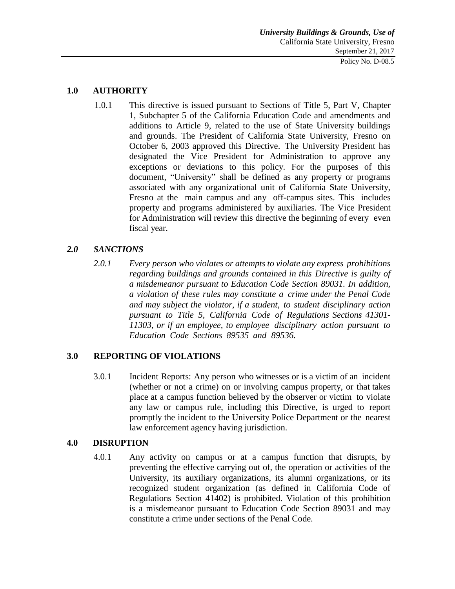### <span id="page-4-0"></span>**1.0 AUTHORITY**

1.0.1 This directive is issued pursuant to Sections of Title 5, Part V, Chapter 1, Subchapter 5 of the California Education Code and amendments and additions to Article 9, related to the use of State University buildings and grounds. The President of California State University, Fresno on October 6, 2003 approved this Directive. The University President has designated the Vice President for Administration to approve any exceptions or deviations to this policy. For the purposes of this document, "University" shall be defined as any property or programs associated with any organizational unit of California State University, Fresno at the main campus and any off-campus sites. This includes property and programs administered by auxiliaries. The Vice President for Administration will review this directive the beginning of every even fiscal year.

### <span id="page-4-1"></span>*2.0 SANCTIONS*

*2.0.1 Every person who violates or attempts to violate any express prohibitions regarding buildings and grounds contained in this Directive is guilty of a misdemeanor pursuant to Education Code Section 89031. In addition, a violation of these rules may constitute a crime under the Penal Code and may subject the violator, if a student, to student disciplinary action pursuant to Title 5, California Code of Regulations Sections 41301- 11303, or if an employee, to employee disciplinary action pursuant to Education Code Sections 89535 and 89536.*

## <span id="page-4-2"></span>**3.0 REPORTING OF VIOLATIONS**

3.0.1 Incident Reports: Any person who witnesses or is a victim of an incident (whether or not a crime) on or involving campus property, or that takes place at a campus function believed by the observer or victim to violate any law or campus rule, including this Directive, is urged to report promptly the incident to the University Police Department or the nearest law enforcement agency having jurisdiction.

#### <span id="page-4-3"></span>**4.0 DISRUPTION**

4.0.1 Any activity on campus or at a campus function that disrupts, by preventing the effective carrying out of, the operation or activities of the University, its auxiliary organizations, its alumni organizations, or its recognized student organization (as defined in California Code of Regulations Section 41402) is prohibited. Violation of this prohibition is a misdemeanor pursuant to Education Code Section 89031 and may constitute a crime under sections of the Penal Code.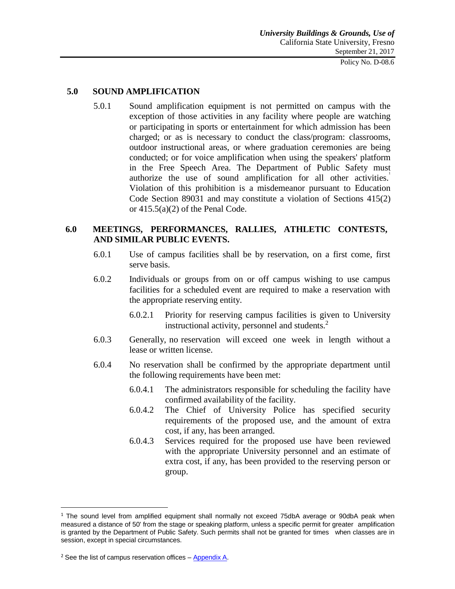### <span id="page-5-0"></span>**5.0 SOUND AMPLIFICATION**

5.0.1 Sound amplification equipment is not permitted on campus with the exception of those activities in any facility where people are watching or participating in sports or entertainment for which admission has been charged; or as is necessary to conduct the class/program: classrooms, outdoor instructional areas, or where graduation ceremonies are being conducted; or for voice amplification when using the speakers' platform in the Free Speech Area. The Department of Public Safety must authorize the use of sound amplification for all other activities. Violation of this prohibition is a misdemeanor pursuant to Education Code Section 89031 and may constitute a violation of Sections 415(2) or 415.5(a)(2) of the Penal Code.

## **6.0 MEETINGS, PERFORMANCES, RALLIES, ATHLETIC CONTESTS, AND SIMILAR PUBLIC EVENTS.**

- 6.0.1 Use of campus facilities shall be by reservation, on a first come, first serve basis.
- 6.0.2 Individuals or groups from on or off campus wishing to use campus facilities for a scheduled event are required to make a reservation with the appropriate reserving entity.
	- 6.0.2.1 Priority for reserving campus facilities is given to University instructional activity, personnel and students.<sup>2</sup>
- 6.0.3 Generally, no reservation will exceed one week in length without a lease or written license.
- 6.0.4 No reservation shall be confirmed by the appropriate department until the following requirements have been met:
	- 6.0.4.1 The administrators responsible for scheduling the facility have confirmed availability of the facility.
	- 6.0.4.2 The Chief of University Police has specified security requirements of the proposed use, and the amount of extra cost, if any, has been arranged.
	- 6.0.4.3 Services required for the proposed use have been reviewed with the appropriate University personnel and an estimate of extra cost, if any, has been provided to the reserving person or group.

 $\overline{a}$ 

<sup>&</sup>lt;sup>1</sup> The sound level from amplified equipment shall normally not exceed 75dbA average or 90dbA peak when measured a distance of 50' from the stage or speaking platform, unless a specific permit for greater amplification is granted by the Department of Public Safety. Such permits shall not be granted for times when classes are in session, except in special circumstances.

 $2$  See the list of campus reservation offices – Appendix A.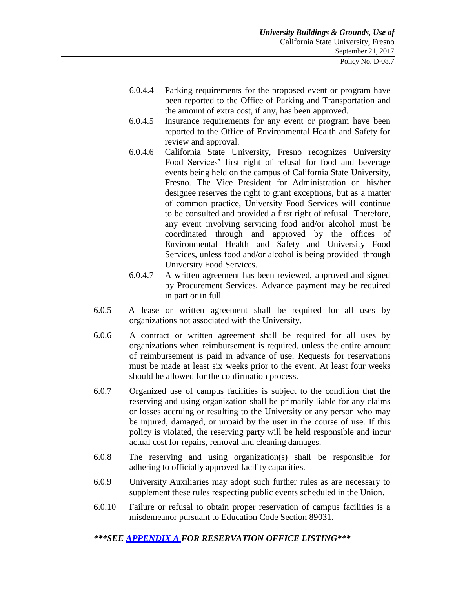- 6.0.4.4 Parking requirements for the proposed event or program have been reported to the Office of Parking and Transportation and the amount of extra cost, if any, has been approved.
- 6.0.4.5 Insurance requirements for any event or program have been reported to the Office of Environmental Health and Safety for review and approval.
- 6.0.4.6 California State University, Fresno recognizes University Food Services' first right of refusal for food and beverage events being held on the campus of California State University, Fresno. The Vice President for Administration or his/her designee reserves the right to grant exceptions, but as a matter of common practice, University Food Services will continue to be consulted and provided a first right of refusal. Therefore, any event involving servicing food and/or alcohol must be coordinated through and approved by the offices of Environmental Health and Safety and University Food Services, unless food and/or alcohol is being provided through University Food Services.
- 6.0.4.7 A written agreement has been reviewed, approved and signed by Procurement Services. Advance payment may be required in part or in full.
- 6.0.5 A lease or written agreement shall be required for all uses by organizations not associated with the University.
- 6.0.6 A contract or written agreement shall be required for all uses by organizations when reimbursement is required, unless the entire amount of reimbursement is paid in advance of use. Requests for reservations must be made at least six weeks prior to the event. At least four weeks should be allowed for the confirmation process.
- 6.0.7 Organized use of campus facilities is subject to the condition that the reserving and using organization shall be primarily liable for any claims or losses accruing or resulting to the University or any person who may be injured, damaged, or unpaid by the user in the course of use. If this policy is violated, the reserving party will be held responsible and incur actual cost for repairs, removal and cleaning damages.
- 6.0.8 The reserving and using organization(s) shall be responsible for adhering to officially approved facility capacities.
- 6.0.9 University Auxiliaries may adopt such further rules as are necessary to supplement these rules respecting public events scheduled in the Union.
- 6.0.10 Failure or refusal to obtain proper reservation of campus facilities is a misdemeanor pursuant to Education Code Section 89031.

#### *\*\*\*SEE APPENDIX A FOR RESERVATION OFFICE LISTING\*\*\**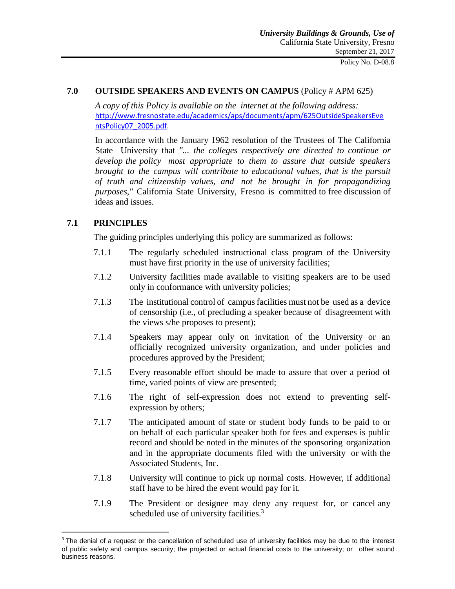#### <span id="page-7-0"></span>**7.0 OUTSIDE SPEAKERS AND EVENTS ON CAMPUS** (Policy # APM 625)

*A copy of this Policy is available on the internet at the following address:* [http://www.fresnostate.edu/academics/aps/documents/apm/625OutsideSpeakersEve](http://www.fresnostate.edu/academics/aps/documents/apm/625OutsideSpeakersEventsPolicy07_2005.pdf) [ntsPolicy07\\_2005.pdf.](http://www.fresnostate.edu/academics/aps/documents/apm/625OutsideSpeakersEventsPolicy07_2005.pdf)

In accordance with the January 1962 resolution of the Trustees of The California State University that *"... the colleges respectively are directed to continue or develop the policy most appropriate to them to assure that outside speakers brought to the campus will contribute to educational values, that is the pursuit of truth and citizenship values, and not be brought in for propagandizing purposes,"* California State University, Fresno is committed to free discussion of ideas and issues.

### <span id="page-7-1"></span>**7.1 PRINCIPLES**

 $\overline{a}$ 

The guiding principles underlying this policy are summarized as follows:

- 7.1.1 The regularly scheduled instructional class program of the University must have first priority in the use of university facilities;
- 7.1.2 University facilities made available to visiting speakers are to be used only in conformance with university policies;
- 7.1.3 The institutional control of campusfacilities must not be used as a device of censorship (i.e., of precluding a speaker because of disagreement with the views s/he proposes to present);
- 7.1.4 Speakers may appear only on invitation of the University or an officially recognized university organization, and under policies and procedures approved by the President;
- 7.1.5 Every reasonable effort should be made to assure that over a period of time, varied points of view are presented;
- 7.1.6 The right of self-expression does not extend to preventing selfexpression by others;
- 7.1.7 The anticipated amount of state or student body funds to be paid to or on behalf of each particular speaker both for fees and expenses is public record and should be noted in the minutes of the sponsoring organization and in the appropriate documents filed with the university or with the Associated Students, Inc.
- 7.1.8 University will continue to pick up normal costs. However, if additional staff have to be hired the event would pay for it.
- 7.1.9 The President or designee may deny any request for, or cancel any scheduled use of university facilities.<sup>3</sup>

 $3$  The denial of a request or the cancellation of scheduled use of university facilities may be due to the interest of public safety and campus security; the projected or actual financial costs to the university; or other sound business reasons.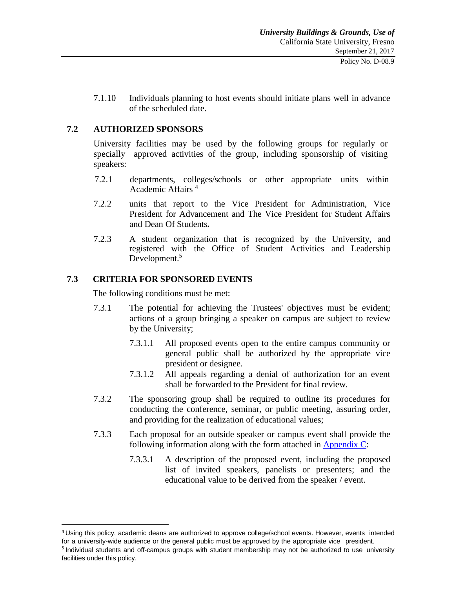7.1.10 Individuals planning to host events should initiate plans well in advance of the scheduled date.

### <span id="page-8-0"></span>**7.2 AUTHORIZED SPONSORS**

University facilities may be used by the following groups for regularly or specially approved activities of the group, including sponsorship of visiting speakers:

- 7.2.1 departments, colleges/schools or other appropriate units within Academic Affairs <sup>4</sup>
- 7.2.2 units that report to the Vice President for Administration, Vice President for Advancement and The Vice President for Student Affairs and Dean Of Students**.**
- 7.2.3 A student organization that is recognized by the University, and registered with the Office of Student Activities and Leadership Development.<sup>5</sup>

#### <span id="page-8-1"></span>**7.3 CRITERIA FOR SPONSORED EVENTS**

The following conditions must be met:

 $\overline{a}$ 

- 7.3.1 The potential for achieving the Trustees' objectives must be evident; actions of a group bringing a speaker on campus are subject to review by the University;
	- 7.3.1.1 All proposed events open to the entire campus community or general public shall be authorized by the appropriate vice president or designee.
	- 7.3.1.2 All appeals regarding a denial of authorization for an event shall be forwarded to the President for final review.
- 7.3.2 The sponsoring group shall be required to outline its procedures for conducting the conference, seminar, or public meeting, assuring order, and providing for the realization of educational values;
- 7.3.3 Each proposal for an outside speaker or campus event shall provide the following information along with the form attached in Appendix C:
	- 7.3.3.1 A description of the proposed event, including the proposed list of invited speakers, panelists or presenters; and the educational value to be derived from the speaker / event.

<sup>4</sup> Using this policy, academic deans are authorized to approve college/school events. However, events intended for a university-wide audience or the general public must be approved by the appropriate vice president.

<sup>&</sup>lt;sup>5</sup> Individual students and off-campus groups with student membership may not be authorized to use university facilities under this policy.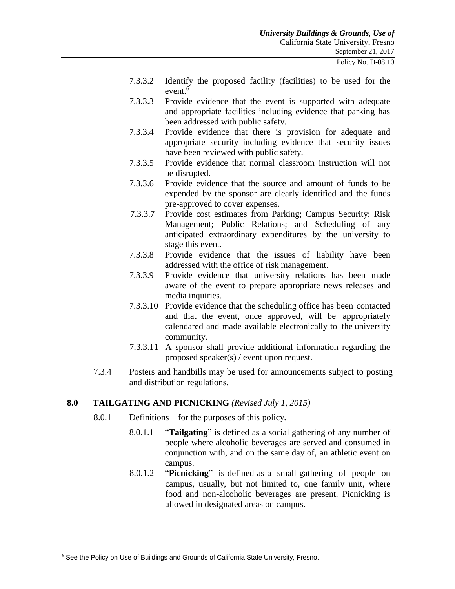- 7.3.3.2 Identify the proposed facility (facilities) to be used for the event.<sup>6</sup>
- 7.3.3.3 Provide evidence that the event is supported with adequate and appropriate facilities including evidence that parking has been addressed with public safety.
- 7.3.3.4 Provide evidence that there is provision for adequate and appropriate security including evidence that security issues have been reviewed with public safety.
- 7.3.3.5 Provide evidence that normal classroom instruction will not be disrupted.
- 7.3.3.6 Provide evidence that the source and amount of funds to be expended by the sponsor are clearly identified and the funds pre-approved to cover expenses.
- 7.3.3.7 Provide cost estimates from Parking; Campus Security; Risk Management; Public Relations; and Scheduling of any anticipated extraordinary expenditures by the university to stage this event.
- 7.3.3.8 Provide evidence that the issues of liability have been addressed with the office of risk management.
- 7.3.3.9 Provide evidence that university relations has been made aware of the event to prepare appropriate news releases and media inquiries.
- 7.3.3.10 Provide evidence that the scheduling office has been contacted and that the event, once approved, will be appropriately calendared and made available electronically to the university community.
- 7.3.3.11 A sponsor shall provide additional information regarding the proposed speaker(s) / event upon request.
- 7.3.4 Posters and handbills may be used for announcements subject to posting and distribution regulations.

## **8.0 TAILGATING AND PICNICKING** *(Revised July 1, 2015)*

- 8.0.1 Definitions for the purposes of this policy.
	- 8.0.1.1 "**Tailgating**" is defined as a social gathering of any number of people where alcoholic beverages are served and consumed in conjunction with, and on the same day of, an athletic event on campus.
	- 8.0.1.2 "**Picnicking**" is defined as a small gathering of people on campus, usually, but not limited to, one family unit, where food and non-alcoholic beverages are present. Picnicking is allowed in designated areas on campus.

 $\overline{a}$ 

<sup>&</sup>lt;sup>6</sup> See the Policy on Use of Buildings and Grounds of California State University, Fresno.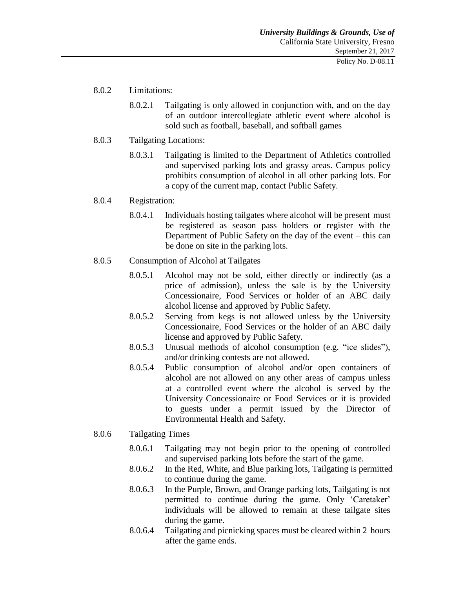#### 8.0.2 Limitations:

8.0.2.1 Tailgating is only allowed in conjunction with, and on the day of an outdoor intercollegiate athletic event where alcohol is sold such as football, baseball, and softball games

#### 8.0.3 Tailgating Locations:

8.0.3.1 Tailgating is limited to the Department of Athletics controlled and supervised parking lots and grassy areas. Campus policy prohibits consumption of alcohol in all other parking lots. For a copy of the current map, contact Public Safety.

#### 8.0.4 Registration:

8.0.4.1 Individuals hosting tailgates where alcohol will be present must be registered as season pass holders or register with the Department of Public Safety on the day of the event – this can be done on site in the parking lots.

#### 8.0.5 Consumption of Alcohol at Tailgates

- 8.0.5.1 Alcohol may not be sold, either directly or indirectly (as a price of admission), unless the sale is by the University Concessionaire, Food Services or holder of an ABC daily alcohol license and approved by Public Safety.
- 8.0.5.2 Serving from kegs is not allowed unless by the University Concessionaire, Food Services or the holder of an ABC daily license and approved by Public Safety.
- 8.0.5.3 Unusual methods of alcohol consumption (e.g. "ice slides"), and/or drinking contests are not allowed.
- 8.0.5.4 Public consumption of alcohol and/or open containers of alcohol are not allowed on any other areas of campus unless at a controlled event where the alcohol is served by the University Concessionaire or Food Services or it is provided to guests under a permit issued by the Director of Environmental Health and Safety.

#### 8.0.6 Tailgating Times

- 8.0.6.1 Tailgating may not begin prior to the opening of controlled and supervised parking lots before the start of the game.
- 8.0.6.2 In the Red, White, and Blue parking lots, Tailgating is permitted to continue during the game.
- 8.0.6.3 In the Purple, Brown, and Orange parking lots, Tailgating is not permitted to continue during the game. Only 'Caretaker' individuals will be allowed to remain at these tailgate sites during the game.
- 8.0.6.4 Tailgating and picnicking spaces must be cleared within 2 hours after the game ends.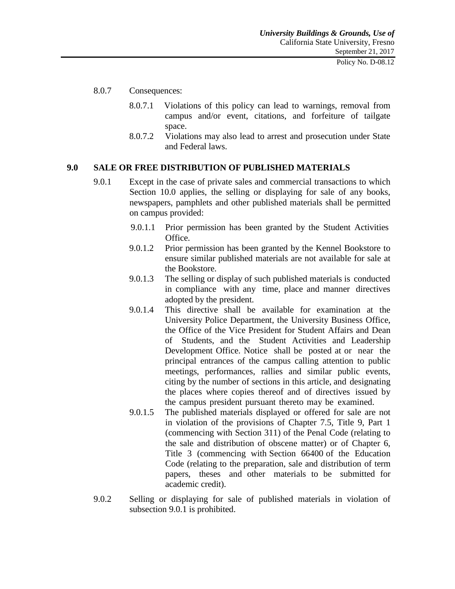- 8.0.7 Consequences:
	- 8.0.7.1 Violations of this policy can lead to warnings, removal from campus and/or event, citations, and forfeiture of tailgate space.
	- 8.0.7.2 Violations may also lead to arrest and prosecution under State and Federal laws.

#### **9.0 SALE OR FREE DISTRIBUTION OF PUBLISHED MATERIALS**

- 9.0.1 Except in the case of private sales and commercial transactions to which Section 10.0 applies, the selling or displaying for sale of any books, newspapers, pamphlets and other published materials shall be permitted on campus provided:
	- 9.0.1.1 Prior permission has been granted by the Student Activities Office.
	- 9.0.1.2 Prior permission has been granted by the Kennel Bookstore to ensure similar published materials are not available for sale at the Bookstore.
	- 9.0.1.3 The selling or display of such published materials is conducted in compliance with any time, place and manner directives adopted by the president.
	- 9.0.1.4 This directive shall be available for examination at the University Police Department, the University Business Office, the Office of the Vice President for Student Affairs and Dean of Students, and the Student Activities and Leadership Development Office. Notice shall be posted at or near the principal entrances of the campus calling attention to public meetings, performances, rallies and similar public events, citing by the number of sections in this article, and designating the places where copies thereof and of directives issued by the campus president pursuant thereto may be examined.
	- 9.0.1.5 The published materials displayed or offered for sale are not in violation of the provisions of Chapter 7.5, Title 9, Part 1 (commencing with Section 311) of the Penal Code (relating to the sale and distribution of obscene matter) or of Chapter 6, Title 3 (commencing with Section 66400 of the Education Code (relating to the preparation, sale and distribution of term papers, theses and other materials to be submitted for academic credit).
- 9.0.2 Selling or displaying for sale of published materials in violation of subsection 9.0.1 is prohibited.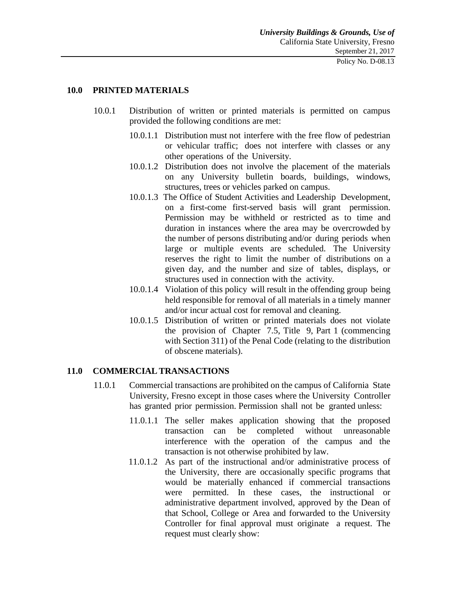#### **10.0 PRINTED MATERIALS**

- 10.0.1 Distribution of written or printed materials is permitted on campus provided the following conditions are met:
	- 10.0.1.1 Distribution must not interfere with the free flow of pedestrian or vehicular traffic; does not interfere with classes or any other operations of the University.
	- 10.0.1.2 Distribution does not involve the placement of the materials on any University bulletin boards, buildings, windows, structures, trees or vehicles parked on campus.
	- 10.0.1.3 The Office of Student Activities and Leadership Development, on a first-come first-served basis will grant permission. Permission may be withheld or restricted as to time and duration in instances where the area may be overcrowded by the number of persons distributing and/or during periods when large or multiple events are scheduled. The University reserves the right to limit the number of distributions on a given day, and the number and size of tables, displays, or structures used in connection with the activity.
	- 10.0.1.4 Violation of this policy will result in the offending group being held responsible for removal of all materials in a timely manner and/or incur actual cost for removal and cleaning.
	- 10.0.1.5 Distribution of written or printed materials does not violate the provision of Chapter 7.5, Title 9, Part 1 (commencing with Section 311) of the Penal Code (relating to the distribution of obscene materials).

#### **11.0 COMMERCIALTRANSACTIONS**

- 11.0.1 Commercial transactions are prohibited on the campus of California State University, Fresno except in those cases where the University Controller has granted prior permission. Permission shall not be granted unless:
	- 11.0.1.1 The seller makes application showing that the proposed transaction can be completed without unreasonable interference with the operation of the campus and the transaction is not otherwise prohibited by law.
	- 11.0.1.2 As part of the instructional and/or administrative process of the University, there are occasionally specific programs that would be materially enhanced if commercial transactions were permitted. In these cases, the instructional or administrative department involved, approved by the Dean of that School, College or Area and forwarded to the University Controller for final approval must originate a request. The request must clearly show: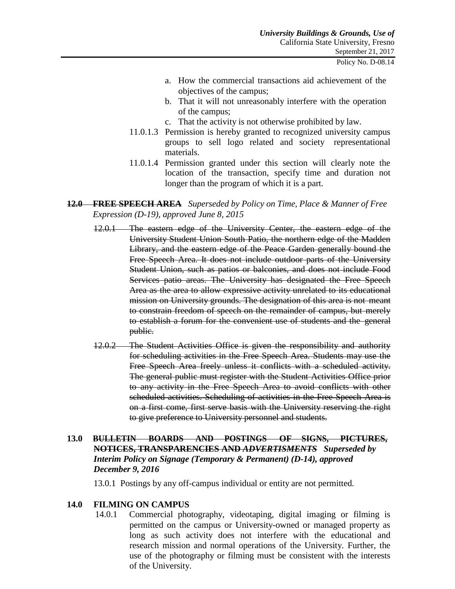- a. How the commercial transactions aid achievement of the objectives of the campus;
- b. That it will not unreasonably interfere with the operation of the campus;
- c. That the activity is not otherwise prohibited by law.
- 11.0.1.3 Permission is hereby granted to recognized university campus groups to sell logo related and society representational materials.
- 11.0.1.4 Permission granted under this section will clearly note the location of the transaction, specify time and duration not longer than the program of which it is a part.

#### **12.0 FREE SPEECH AREA** *Superseded by Policy on Time, Place & Manner of Free Expression (D-19), approved June 8, 2015*

- 12.0.1 The eastern edge of the University Center, the eastern edge of the University Student Union South Patio, the northern edge of the Madden Library, and the eastern edge of the Peace Garden generally bound the Free Speech Area. It does not include outdoor parts of the University Student Union, such as patios or balconies, and does not include Food Services patio areas. The University has designated the Free Speech Area as the area to allow expressive activity unrelated to its educational mission on University grounds. The designation of this area is not meant to constrain freedom of speech on the remainder of campus, but merely to establish a forum for the convenient use of students and the general public.
- 12.0.2 The Student Activities Office is given the responsibility and authority for scheduling activities in the Free Speech Area. Students may use the Free Speech Area freely unless it conflicts with a scheduled activity. The general public must register with the Student Activities Office prior to any activity in the Free Speech Area to avoid conflicts with other scheduled activities. Scheduling of activities in the Free Speech Area is on a first come, first serve basis with the University reserving the right to give preference to University personnel and students.

### **13.0 BULLETIN BOARDS AND POSTINGS OF SIGNS, PICTURES, NOTICES, TRANSPARENCIES AND** *ADVERTISMENTS Superseded by Interim Policy on Signage (Temporary & Permanent) (D-14), approved December 9, 2016*

13.0.1 Postings by any off-campus individual or entity are not permitted.

#### **14.0 FILMING ON CAMPUS**

14.0.1 Commercial photography, videotaping, digital imaging or filming is permitted on the campus or University-owned or managed property as long as such activity does not interfere with the educational and research mission and normal operations of the University. Further, the use of the photography or filming must be consistent with the interests of the University.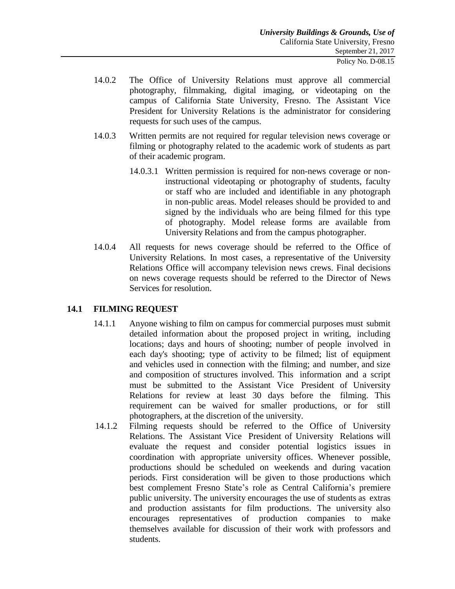- 14.0.2 The Office of University Relations must approve all commercial photography, filmmaking, digital imaging, or videotaping on the campus of California State University, Fresno. The Assistant Vice President for University Relations is the administrator for considering requests for such uses of the campus.
- 14.0.3 Written permits are not required for regular television news coverage or filming or photography related to the academic work of students as part of their academic program.
	- 14.0.3.1 Written permission is required for non-news coverage or noninstructional videotaping or photography of students, faculty or staff who are included and identifiable in any photograph in non-public areas. Model releases should be provided to and signed by the individuals who are being filmed for this type of photography. Model release forms are available from University Relations and from the campus photographer.
- 14.0.4 All requests for news coverage should be referred to the Office of University Relations. In most cases, a representative of the University Relations Office will accompany television news crews. Final decisions on news coverage requests should be referred to the Director of News Services for resolution.

## **14.1 FILMING REQUEST**

- 14.1.1 Anyone wishing to film on campus for commercial purposes must submit detailed information about the proposed project in writing, including locations; days and hours of shooting; number of people involved in each day's shooting; type of activity to be filmed; list of equipment and vehicles used in connection with the filming; and number, and size and composition of structures involved. This information and a script must be submitted to the Assistant Vice President of University Relations for review at least 30 days before the filming. This requirement can be waived for smaller productions, or for still photographers, at the discretion of the university.
- 14.1.2 Filming requests should be referred to the Office of University Relations. The Assistant Vice President of University Relations will evaluate the request and consider potential logistics issues in coordination with appropriate university offices. Whenever possible, productions should be scheduled on weekends and during vacation periods. First consideration will be given to those productions which best complement Fresno State's role as Central California's premiere public university. The university encourages the use of students as extras and production assistants for film productions. The university also encourages representatives of production companies to make themselves available for discussion of their work with professors and students.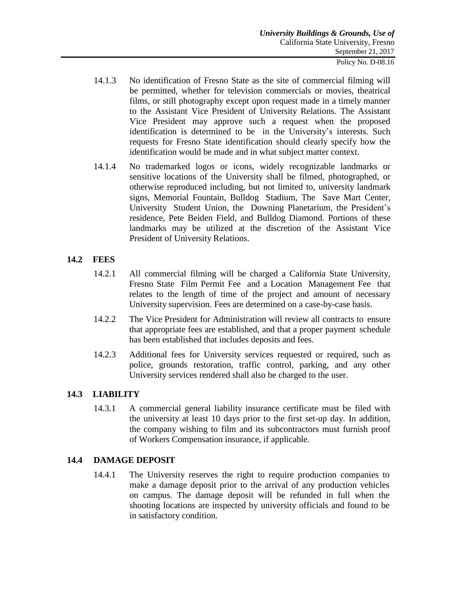- 14.1.3 No identification of Fresno State as the site of commercial filming will be permitted, whether for television commercials or movies, theatrical films, or still photography except upon request made in a timely manner to the Assistant Vice President of University Relations. The Assistant Vice President may approve such a request when the proposed identification is determined to be in the University's interests. Such requests for Fresno State identification should clearly specify how the identification would be made and in what subject matter context.
- 14.1.4 No trademarked logos or icons, widely recognizable landmarks or sensitive locations of the University shall be filmed, photographed, or otherwise reproduced including, but not limited to, university landmark signs, Memorial Fountain, Bulldog Stadium, The Save Mart Center, University Student Union, the Downing Planetarium, the President's residence, Pete Beiden Field, and Bulldog Diamond. Portions of these landmarks may be utilized at the discretion of the Assistant Vice President of University Relations.
- **14.2 FEES**
	- 14.2.1 All commercial filming will be charged a California State University, Fresno State Film Permit Fee and a Location Management Fee that relates to the length of time of the project and amount of necessary University supervision. Fees are determined on a case-by-case basis.
	- 14.2.2 The Vice President for Administration will review all contracts to ensure that appropriate fees are established, and that a proper payment schedule has been established that includes deposits and fees.
	- 14.2.3 Additional fees for University services requested or required, such as police, grounds restoration, traffic control, parking, and any other University services rendered shall also be charged to the user.

## **14.3 LIABILITY**

14.3.1 A commercial general liability insurance certificate must be filed with the university at least 10 days prior to the first set-up day. In addition, the company wishing to film and its subcontractors must furnish proof of Workers Compensation insurance, if applicable.

## **14.4 DAMAGE DEPOSIT**

14.4.1 The University reserves the right to require production companies to make a damage deposit prior to the arrival of any production vehicles on campus. The damage deposit will be refunded in full when the shooting locations are inspected by university officials and found to be in satisfactory condition.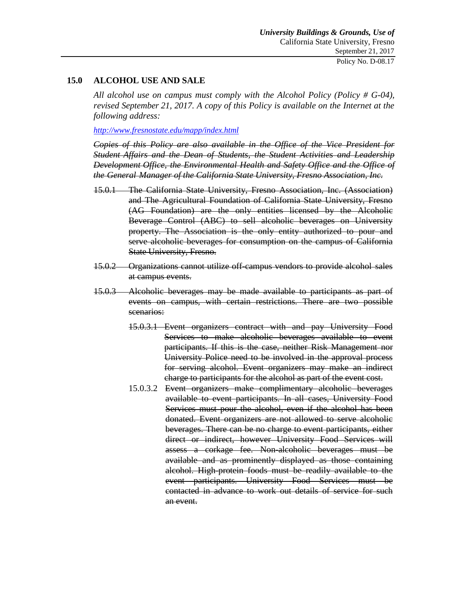### **15.0 ALCOHOL USE AND SALE**

*All alcohol use on campus must comply with the Alcohol Policy (Policy # G-04), revised September 21, 2017. A copy of this Policy is available on the Internet at the following address:*

*<http://www.fresnostate.edu/mapp/index.html>*

*Copies of this Policy are also available in the Office of the Vice President for Student Affairs and the Dean of Students, the Student Activities and Leadership Development Office, the Environmental Health and Safety Office and the Office of the General Manager of the California State University, Fresno Association, Inc.*

- 15.0.1 The California State University, Fresno Association, Inc. (Association) and The Agricultural Foundation of California State University, Fresno (AG Foundation) are the only entities licensed by the Alcoholic Beverage Control (ABC) to sell alcoholic beverages on University property. The Association is the only entity authorized to pour and serve alcoholic beverages for consumption on the campus of California State University, Fresno.
- 15.0.2 Organizations cannot utilize off-campus vendors to provide alcohol sales at campus events.
- 15.0.3 Alcoholic beverages may be made available to participants as part of events on campus, with certain restrictions. There are two possible scenarios:
	- 15.0.3.1 Event organizers contract with and pay University Food Services to make alcoholic beverages available to event participants. If this is the case, neither Risk Management nor University Police need to be involved in the approval process for serving alcohol. Event organizers may make an indirect charge to participants for the alcohol as part of the event cost.
	- 15.0.3.2 Event organizers make complimentary alcoholic beverages available to event participants. In all cases, University Food Services must pour the alcohol, even if the alcohol has been donated. Event organizers are not allowed to serve alcoholic beverages. There can be no charge to event participants, either direct or indirect, however University Food Services will assess a corkage fee. Non-alcoholic beverages must be available and as prominently displayed as those containing alcohol. High-protein foods must be readily available to the event participants. University Food Services must be contacted in advance to work out details of service for such an event.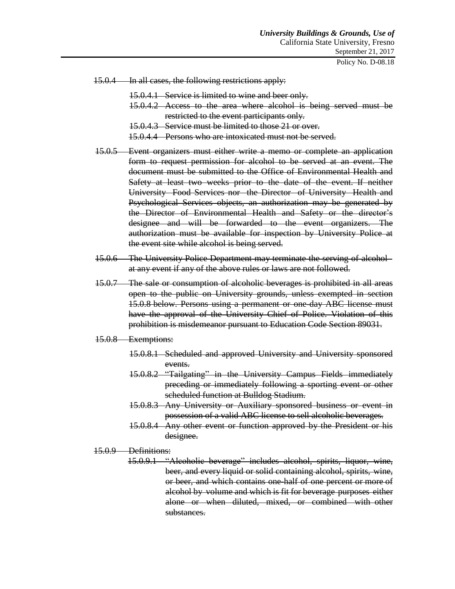- 15.0.4 In all cases, the following restrictions apply:
	- 15.0.4.1 Service is limited to wine and beer only.
	- 15.0.4.2 Access to the area where alcohol is being served must be restricted to the event participants only.
	- 15.0.4.3 Service must be limited to those 21 or over.
	- 15.0.4.4 Persons who are intoxicated must not be served.
- 15.0.5 Event organizers must either write a memo or complete an application form to request permission for alcohol to be served at an event. The document must be submitted to the Office of Environmental Health and Safety at least two weeks prior to the date of the event. If neither University Food Services nor the Director of University Health and Psychological Services objects, an authorization may be generated by the Director of Environmental Health and Safety or the director's designee and will be forwarded to the event organizers. The authorization must be available for inspection by University Police at the event site while alcohol is being served.
- 15.0.6 The University Police Department may terminate the serving of alcohol at any event if any of the above rules or laws are not followed.
- 15.0.7 The sale or consumption of alcoholic beverages is prohibited in all areas open to the public on University grounds, unless exempted in section 15.0.8 below. Persons using a permanent or one-day ABC license must have the approval of the University Chief of Police. Violation of this prohibition is misdemeanor pursuant to Education Code Section 89031.
- 15.0.8 Exemptions:
	- 15.0.8.1 Scheduled and approved University and University sponsored events.
	- 15.0.8.2 "Tailgating" in the University Campus Fields immediately preceding or immediately following a sporting event or other scheduled function at Bulldog Stadium.
	- 15.0.8.3 Any University or Auxiliary sponsored business or event in possession of a valid ABC license to sell alcoholic beverages.
	- 15.0.8.4 Any other event or function approved by the President or his designee.
- 15.0.9 Definitions:
	- 15.0.9.1 "Alcoholic beverage" includes alcohol, spirits, liquor, wine, beer, and every liquid or solid containing alcohol, spirits, wine, or beer, and which contains one-half of one percent or more of alcohol by volume and which is fit for beverage purposes either alone or when diluted, mixed, or combined with other substances.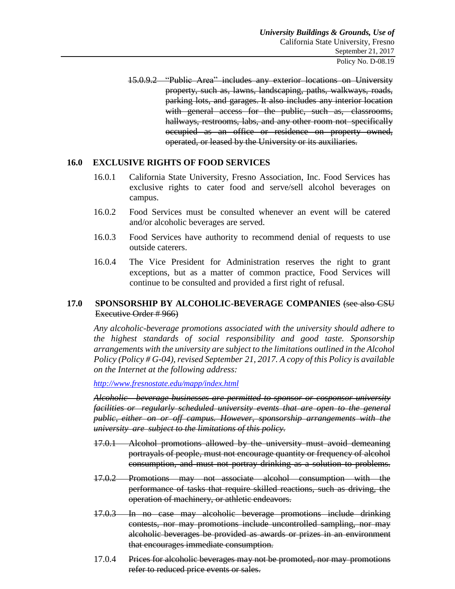15.0.9.2 "Public Area" includes any exterior locations on University property, such as, lawns, landscaping, paths, walkways, roads, parking lots, and garages. It also includes any interior location with general access for the public, such as, classrooms, hallways, restrooms, labs, and any other room not specifically occupied as an office or residence on property owned, operated, or leased by the University or its auxiliaries.

#### **16.0 EXCLUSIVE RIGHTS OF FOOD SERVICES**

- 16.0.1 California State University, Fresno Association, Inc. Food Services has exclusive rights to cater food and serve/sell alcohol beverages on campus.
- 16.0.2 Food Services must be consulted whenever an event will be catered and/or alcoholic beverages are served.
- 16.0.3 Food Services have authority to recommend denial of requests to use outside caterers.
- 16.0.4 The Vice President for Administration reserves the right to grant exceptions, but as a matter of common practice, Food Services will continue to be consulted and provided a first right of refusal.

### **17.0 SPONSORSHIP BY ALCOHOLIC-BEVERAGE COMPANIES** (see also CSU Executive Order # 966)

*Any alcoholic-beverage promotions associated with the university should adhere to the highest standards of social responsibility and good taste. Sponsorship arrangements with the university are subject to the limitations outlined in the Alcohol Policy (Policy # G-04), revised September 21, 2017. A copy of this Policy is available on the Internet at the following address:*

*<http://www.fresnostate.edu/mapp/index.html>*

*Alcoholic- beverage businesses are permitted to sponsor or cosponsor university facilities or regularly scheduled university events that are open to the general public, either on or off campus. However, sponsorship arrangements with the university are subject to the limitations of this policy.*

- 17.0.1 Alcohol promotions allowed by the university must avoid demeaning portrayals of people, must not encourage quantity or frequency of alcohol consumption, and must not portray drinking as a solution to problems.
- 17.0.2 Promotions may not associate alcohol consumption with the performance of tasks that require skilled reactions, such as driving, the operation of machinery, or athletic endeavors.
- 17.0.3 In no case may alcoholic beverage promotions include drinking contests, nor may promotions include uncontrolled sampling, nor may alcoholic beverages be provided as awards or prizes in an environment that encourages immediate consumption.
- 17.0.4 Prices for alcoholic beverages may not be promoted, nor may promotions refer to reduced price events or sales.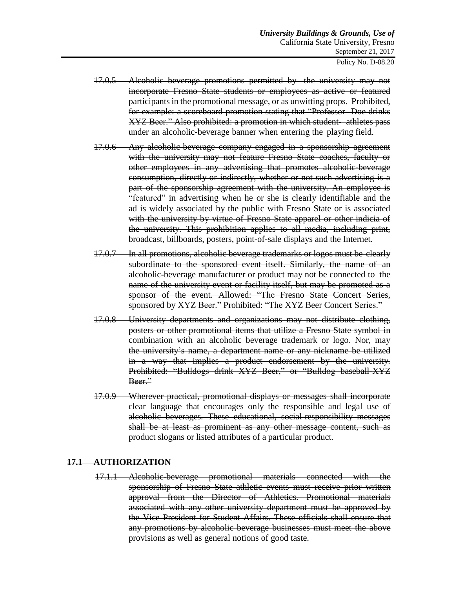- 17.0.5 Alcoholic beverage promotions permitted by the university may not incorporate Fresno State students or employees as active or featured participants in the promotional message, or as unwitting props. Prohibited, for example: a scoreboard promotion stating that "Professor Doe drinks XYZ Beer." Also prohibited: a promotion in which student- athletes pass under an alcoholic-beverage banner when entering the playing field.
- 17.0.6 Any alcoholic-beverage company engaged in a sponsorship agreement with the university may not feature Fresno State coaches, faculty or other employees in any advertising that promotes alcoholic-beverage consumption, directly or indirectly, whether or not such advertising is a part of the sponsorship agreement with the university. An employee is "featured" in advertising when he or she is clearly identifiable and the ad is widely associated by the public with Fresno State or is associated with the university by virtue of Fresno State apparel or other indicia of the university. This prohibition applies to all media, including print, broadcast, billboards, posters, point-of-sale displays and the Internet.
- 17.0.7 In all promotions, alcoholic beverage trademarks or logos must be clearly subordinate to the sponsored event itself. Similarly, the name of an alcoholic-beverage manufacturer or product may not be connected to the name of the university event or facility itself, but may be promoted as a sponsor of the event. Allowed: "The Fresno State Concert Series, sponsored by XYZ Beer." Prohibited: "The XYZ Beer Concert Series."
- 17.0.8 University departments and organizations may not distribute clothing, posters or other promotional items that utilize a Fresno State symbol in combination with an alcoholic beverage trademark or logo. Nor, may the university's name, a department name or any nickname be utilized in a way that implies a product endorsement by the university. Prohibited: "Bulldogs drink XYZ Beer," or "Bulldog baseball-XYZ Beer."
- 17.0.9 Wherever practical, promotional displays or messages shall incorporate clear language that encourages only the responsible and legal use of alcoholic beverages. These educational, social-responsibility messages shall be at least as prominent as any other message content, such as product slogans or listed attributes of a particular product.

#### **17.1 AUTHORIZATION**

17.1.1 Alcoholic-beverage promotional materials connected with the sponsorship of Fresno State athletic events must receive prior written approval from the Director of Athletics. Promotional materials associated with any other university department must be approved by the Vice President for Student Affairs. These officials shall ensure that any promotions by alcoholic beverage businesses must meet the above provisions as well as general notions of good taste.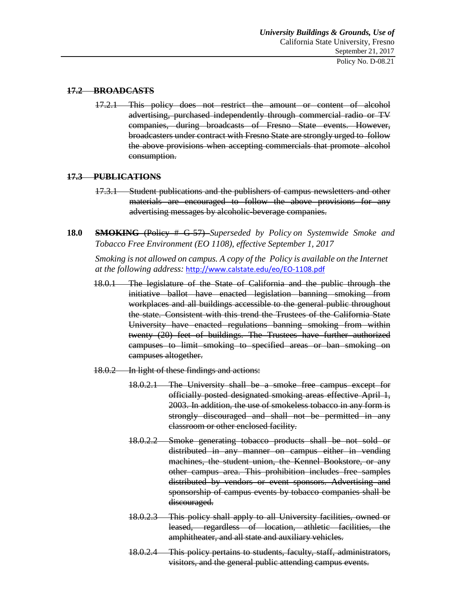#### **17.2 BROADCASTS**

17.2.1 This policy does not restrict the amount or content of alcohol advertising, purchased independently through commercial radio or TV companies, during broadcasts of Fresno State events. However, broadcasters under contract with Fresno State are strongly urged to follow the above provisions when accepting commercials that promote alcohol consumption.

#### **17.3 PUBLICATIONS**

- 17.3.1 Student publications and the publishers of campus newsletters and other materials are encouraged to follow the above provisions for any advertising messages by alcoholic-beverage companies.
- **18.0 SMOKING** (Policy # G-57) *Superseded by Policy on Systemwide Smoke and Tobacco Free Environment (EO 1108), effective September 1, 2017*

*Smoking is not allowed on campus. A copy of the Policy is available on the Internet at the following address:* [http://www.calstate.edu/eo/EO-1108.pdf](http://www.calstate.edu/eo/EO1108.pdf)

- 18.0.1 The legislature of the State of California and the public through the initiative ballot have enacted legislation banning smoking from workplaces and all buildings accessible to the general public throughout the state. Consistent with this trend the Trustees of the California State University have enacted regulations banning smoking from within twenty (20) feet of buildings. The Trustees have further authorized campuses to limit smoking to specified areas or ban smoking on campuses altogether.
- 18.0.2 In light of these findings and actions:
	- 18.0.2.1 The University shall be a smoke free campus except for officially posted designated smoking areas effective April 1, 2003. In addition, the use of smokeless tobacco in any form is strongly discouraged and shall not be permitted in any classroom or other enclosed facility.
	- 18.0.2.2 Smoke generating tobacco products shall be not sold or distributed in any manner on campus either in vending machines, the student union, the Kennel Bookstore, or any other campus area. This prohibition includes free samples distributed by vendors or event sponsors. Advertising and sponsorship of campus events by tobacco companies shall be discouraged.
	- 18.0.2.3 This policy shall apply to all University facilities, owned or leased, regardless of location, athletic facilities, the amphitheater, and all state and auxiliary vehicles.
	- 18.0.2.4 This policy pertains to students, faculty, staff, administrators, visitors, and the general public attending campus events.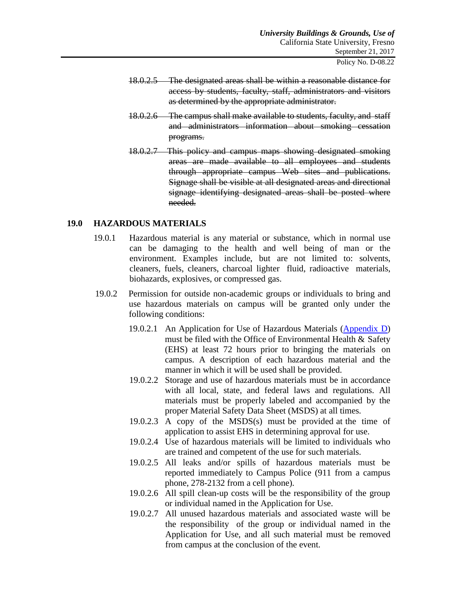- 18.0.2.5 The designated areas shall be within a reasonable distance for access by students, faculty, staff, administrators and visitors as determined by the appropriate administrator.
- 18.0.2.6 The campus shall make available to students, faculty, and staff and administrators information about smoking cessation programs.
- 18.0.2.7 This policy and campus maps showing designated smoking areas are made available to all employees and students through appropriate campus Web sites and publications. Signage shall be visible at all designated areas and directional signage identifying designated areas shall be posted where needed.

#### **19.0 HAZARDOUS MATERIALS**

- 19.0.1 Hazardous material is any material or substance, which in normal use can be damaging to the health and well being of man or the environment. Examples include, but are not limited to: solvents, cleaners, fuels, cleaners, charcoal lighter fluid, radioactive materials, biohazards, explosives, or compressed gas.
- 19.0.2 Permission for outside non-academic groups or individuals to bring and use hazardous materials on campus will be granted only under the following conditions:
	- 19.0.2.1 An Application for Use of Hazardous Materials (Appendix D) must be filed with the Office of Environmental Health & Safety (EHS) at least 72 hours prior to bringing the materials on campus. A description of each hazardous material and the manner in which it will be used shall be provided.
	- 19.0.2.2 Storage and use of hazardous materials must be in accordance with all local, state, and federal laws and regulations. All materials must be properly labeled and accompanied by the proper Material Safety Data Sheet (MSDS) at all times.
	- 19.0.2.3 A copy of the MSDS(s) must be provided at the time of application to assist EHS in determining approval for use.
	- 19.0.2.4 Use of hazardous materials will be limited to individuals who are trained and competent of the use for such materials.
	- 19.0.2.5 All leaks and/or spills of hazardous materials must be reported immediately to Campus Police (911 from a campus phone, 278-2132 from a cell phone).
	- 19.0.2.6 All spill clean-up costs will be the responsibility of the group or individual named in the Application for Use.
	- 19.0.2.7 All unused hazardous materials and associated waste will be the responsibility of the group or individual named in the Application for Use, and all such material must be removed from campus at the conclusion of the event.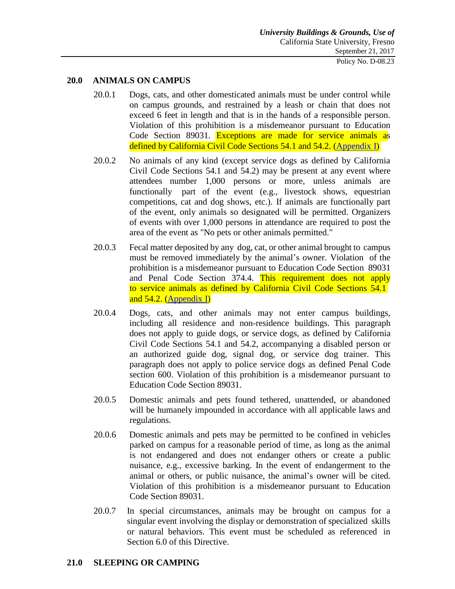### **20.0 ANIMALS ON CAMPUS**

- 20.0.1 Dogs, cats, and other domesticated animals must be under control while on campus grounds, and restrained by a leash or chain that does not exceed 6 feet in length and that is in the hands of a responsible person. Violation of this prohibition is a misdemeanor pursuant to Education Code Section 89031. Exceptions are made for service animals as defined by California Civil Code Sections 54.1 and 54.2. (Appendix I)
- 20.0.2 No animals of any kind (except service dogs as defined by California Civil Code Sections 54.1 and 54.2) may be present at any event where attendees number 1,000 persons or more, unless animals are functionally part of the event (e.g., livestock shows, equestrian competitions, cat and dog shows, etc.). If animals are functionally part of the event, only animals so designated will be permitted. Organizers of events with over 1,000 persons in attendance are required to post the area of the event as "No pets or other animals permitted."
- 20.0.3 Fecal matter deposited by any dog, cat, or other animal brought to campus must be removed immediately by the animal's owner. Violation of the prohibition is a misdemeanor pursuant to Education Code Section 89031 and Penal Code Section 374.4. This requirement does not apply to service animals as defined by California Civil Code Sections 54.1 and 54.2. (Appendix I)
- 20.0.4 Dogs, cats, and other animals may not enter campus buildings, including all residence and non-residence buildings. This paragraph does not apply to guide dogs, or service dogs, as defined by California Civil Code Sections 54.1 and 54.2, accompanying a disabled person or an authorized guide dog, signal dog, or service dog trainer. This paragraph does not apply to police service dogs as defined Penal Code section 600. Violation of this prohibition is a misdemeanor pursuant to Education Code Section 89031.
- 20.0.5 Domestic animals and pets found tethered, unattended, or abandoned will be humanely impounded in accordance with all applicable laws and regulations.
- 20.0.6 Domestic animals and pets may be permitted to be confined in vehicles parked on campus for a reasonable period of time, as long as the animal is not endangered and does not endanger others or create a public nuisance, e.g., excessive barking. In the event of endangerment to the animal or others, or public nuisance, the animal's owner will be cited. Violation of this prohibition is a misdemeanor pursuant to Education Code Section 89031.
- 20.0.7 In special circumstances, animals may be brought on campus for a singular event involving the display or demonstration of specialized skills or natural behaviors. This event must be scheduled as referenced in Section 6.0 of this Directive.

## **21.0 SLEEPING OR CAMPING**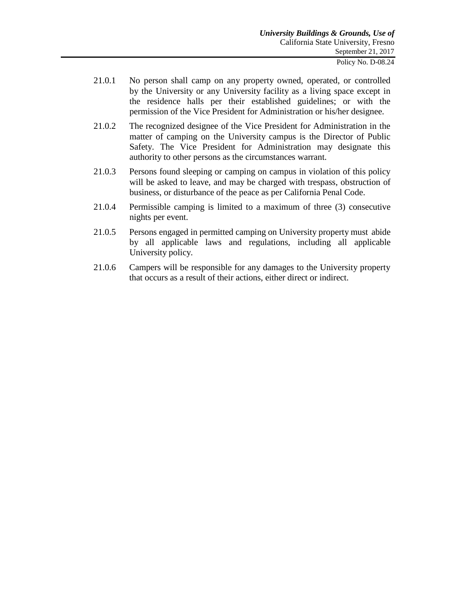- 21.0.1 No person shall camp on any property owned, operated, or controlled by the University or any University facility as a living space except in the residence halls per their established guidelines; or with the permission of the Vice President for Administration or his/her designee.
- 21.0.2 The recognized designee of the Vice President for Administration in the matter of camping on the University campus is the Director of Public Safety. The Vice President for Administration may designate this authority to other persons as the circumstances warrant.
- 21.0.3 Persons found sleeping or camping on campus in violation of this policy will be asked to leave, and may be charged with trespass, obstruction of business, or disturbance of the peace as per California Penal Code.
- 21.0.4 Permissible camping is limited to a maximum of three (3) consecutive nights per event.
- 21.0.5 Persons engaged in permitted camping on University property must abide by all applicable laws and regulations, including all applicable University policy.
- 21.0.6 Campers will be responsible for any damages to the University property that occurs as a result of their actions, either direct or indirect.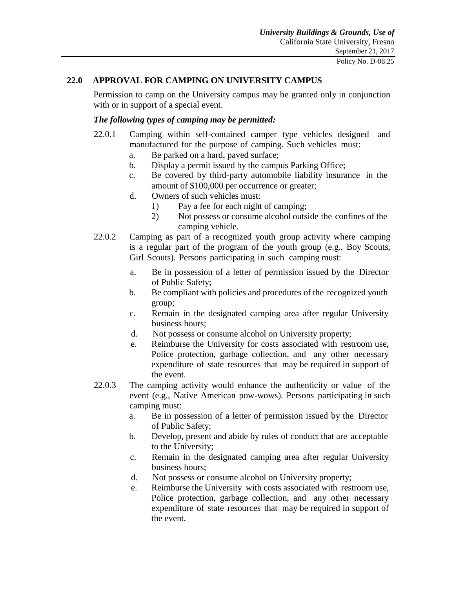## **22.0 APPROVAL FOR CAMPING ON UNIVERSITY CAMPUS**

Permission to camp on the University campus may be granted only in conjunction with or in support of a special event.

### *The following types of camping may be permitted:*

- 22.0.1 Camping within self-contained camper type vehicles designed and manufactured for the purpose of camping. Such vehicles must:
	- a. Be parked on a hard, paved surface;
	- b. Display a permit issued by the campus Parking Office;
	- c. Be covered by third-party automobile liability insurance in the amount of \$100,000 per occurrence or greater;
	- d. Owners of such vehicles must:
		- 1) Pay a fee for each night of camping;
		- 2) Not possess or consume alcohol outside the confines of the camping vehicle.
- 22.0.2 Camping as part of a recognized youth group activity where camping is a regular part of the program of the youth group (e.g., Boy Scouts, Girl Scouts). Persons participating in such camping must:
	- a. Be in possession of a letter of permission issued by the Director of Public Safety;
	- b. Be compliant with policies and procedures of the recognized youth group;
	- c. Remain in the designated camping area after regular University business hours;
	- d. Not possess or consume alcohol on University property;
	- e. Reimburse the University for costs associated with restroom use, Police protection, garbage collection, and any other necessary expenditure of state resources that may be required in support of the event.
- 22.0.3 The camping activity would enhance the authenticity or value of the event (e.g., Native American pow-wows). Persons participating in such camping must:
	- a. Be in possession of a letter of permission issued by the Director of Public Safety;
	- b. Develop, present and abide by rules of conduct that are acceptable to the University;
	- c. Remain in the designated camping area after regular University business hours;
	- d. Not possess or consume alcohol on University property;
	- e. Reimburse the University with costs associated with restroom use, Police protection, garbage collection, and any other necessary expenditure of state resources that may be required in support of the event.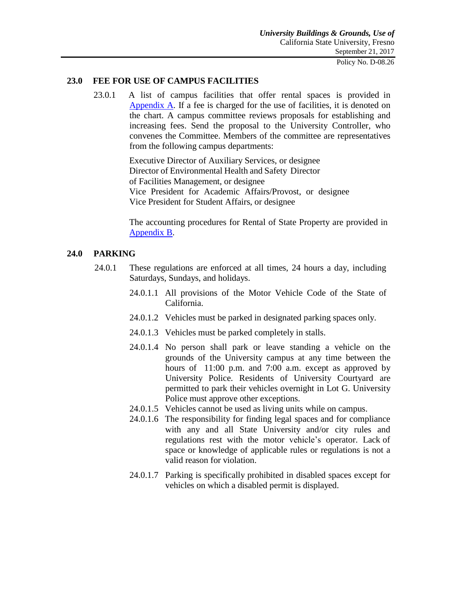#### **23.0 FEE FOR USE OF CAMPUS FACILITIES**

23.0.1 A list of campus facilities that offer rental spaces is provided in Appendix A. If a fee is charged for the use of facilities, it is denoted on the chart. A campus committee reviews proposals for establishing and increasing fees. Send the proposal to the University Controller, who convenes the Committee. Members of the committee are representatives from the following campus departments:

> Executive Director of Auxiliary Services, or designee Director of Environmental Health and Safety Director of Facilities Management, or designee Vice President for Academic Affairs/Provost, or designee Vice President for Student Affairs, or designee

The accounting procedures for Rental of State Property are provided in Appendix B.

### **24.0 PARKING**

- 24.0.1 These regulations are enforced at all times, 24 hours a day, including Saturdays, Sundays, and holidays.
	- 24.0.1.1 All provisions of the Motor Vehicle Code of the State of California.
	- 24.0.1.2 Vehicles must be parked in designated parking spaces only.
	- 24.0.1.3 Vehicles must be parked completely in stalls.
	- 24.0.1.4 No person shall park or leave standing a vehicle on the grounds of the University campus at any time between the hours of 11:00 p.m. and 7:00 a.m. except as approved by University Police. Residents of University Courtyard are permitted to park their vehicles overnight in Lot G. University Police must approve other exceptions.
	- 24.0.1.5 Vehicles cannot be used as living units while on campus.
	- 24.0.1.6 The responsibility for finding legal spaces and for compliance with any and all State University and/or city rules and regulations rest with the motor vehicle's operator. Lack of space or knowledge of applicable rules or regulations is not a valid reason for violation.
	- 24.0.1.7 Parking is specifically prohibited in disabled spaces except for vehicles on which a disabled permit is displayed.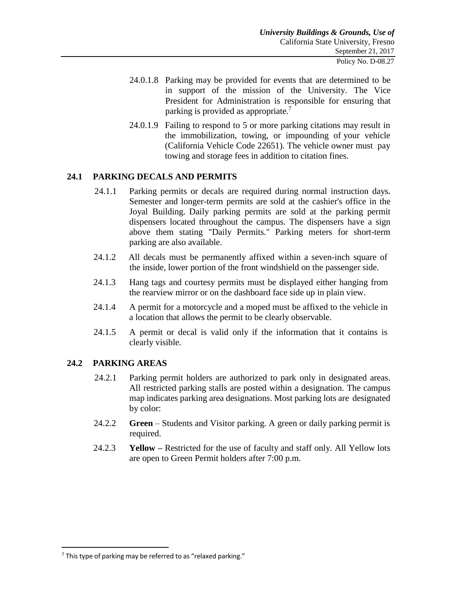- 24.0.1.8 Parking may be provided for events that are determined to be in support of the mission of the University. The Vice President for Administration is responsible for ensuring that parking is provided as appropriate.<sup>7</sup>
- 24.0.1.9 Failing to respond to 5 or more parking citations may result in the immobilization, towing, or impounding of your vehicle (California Vehicle Code 22651). The vehicle owner must pay towing and storage fees in addition to citation fines.

### **24.1 PARKING DECALS AND PERMITS**

- 24.1.1 Parking permits or decals are required during normal instruction days**.** Semester and longer-term permits are sold at the cashier's office in the Joyal Building. Daily parking permits are sold at the parking permit dispensers located throughout the campus. The dispensers have a sign above them stating "Daily Permits." Parking meters for short-term parking are also available.
- 24.1.2 All decals must be permanently affixed within a seven-inch square of the inside, lower portion of the front windshield on the passenger side.
- 24.1.3 Hang tags and courtesy permits must be displayed either hanging from the rearview mirror or on the dashboard face side up in plain view.
- 24.1.4 A permit for a motorcycle and a moped must be affixed to the vehicle in a location that allows the permit to be clearly observable.
- 24.1.5 A permit or decal is valid only if the information that it contains is clearly visible.

#### **24.2 PARKING AREAS**

 $\overline{a}$ 

- 24.2.1 Parking permit holders are authorized to park only in designated areas. All restricted parking stalls are posted within a designation. The campus map indicates parking area designations. Most parking lots are designated by color:
- 24.2.2 **Green** Students and Visitor parking. A green or daily parking permit is required.
- 24.2.3 **Yellow –** Restricted for the use of faculty and staff only. All Yellow lots are open to Green Permit holders after 7:00 p.m.

 $7$  This type of parking may be referred to as "relaxed parking."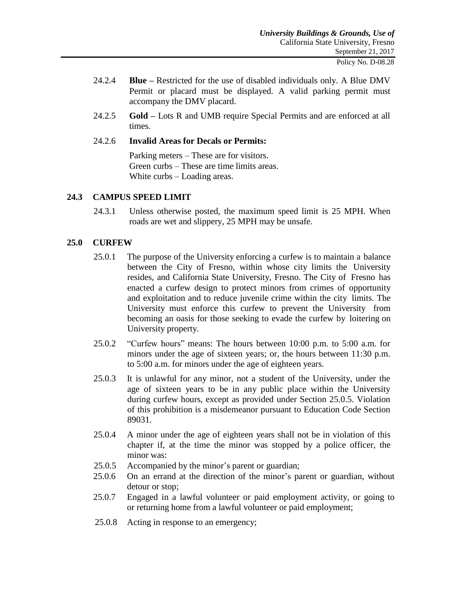- 24.2.4 **Blue –** Restricted for the use of disabled individuals only. A Blue DMV Permit or placard must be displayed. A valid parking permit must accompany the DMV placard.
- 24.2.5 **Gold –** Lots R and UMB require Special Permits and are enforced at all times.

#### 24.2.6 **Invalid Areas for Decals or Permits:**

Parking meters – These are for visitors. Green curbs – These are time limits areas. White curbs – Loading areas.

#### **24.3 CAMPUS SPEED LIMIT**

24.3.1 Unless otherwise posted, the maximum speed limit is 25 MPH. When roads are wet and slippery, 25 MPH may be unsafe.

#### **25.0 CURFEW**

- 25.0.1 The purpose of the University enforcing a curfew is to maintain a balance between the City of Fresno, within whose city limits the University resides, and California State University, Fresno. The City of Fresno has enacted a curfew design to protect minors from crimes of opportunity and exploitation and to reduce juvenile crime within the city limits. The University must enforce this curfew to prevent the University from becoming an oasis for those seeking to evade the curfew by loitering on University property.
- 25.0.2 "Curfew hours" means: The hours between 10:00 p.m. to 5:00 a.m. for minors under the age of sixteen years; or, the hours between 11:30 p.m. to 5:00 a.m. for minors under the age of eighteen years.
- 25.0.3 It is unlawful for any minor, not a student of the University, under the age of sixteen years to be in any public place within the University during curfew hours, except as provided under Section 25.0.5. Violation of this prohibition is a misdemeanor pursuant to Education Code Section 89031.
- 25.0.4 A minor under the age of eighteen years shall not be in violation of this chapter if, at the time the minor was stopped by a police officer, the minor was:
- 25.0.5 Accompanied by the minor's parent or guardian;
- 25.0.6 On an errand at the direction of the minor's parent or guardian, without detour or stop;
- 25.0.7 Engaged in a lawful volunteer or paid employment activity, or going to or returning home from a lawful volunteer or paid employment;
- 25.0.8 Acting in response to an emergency;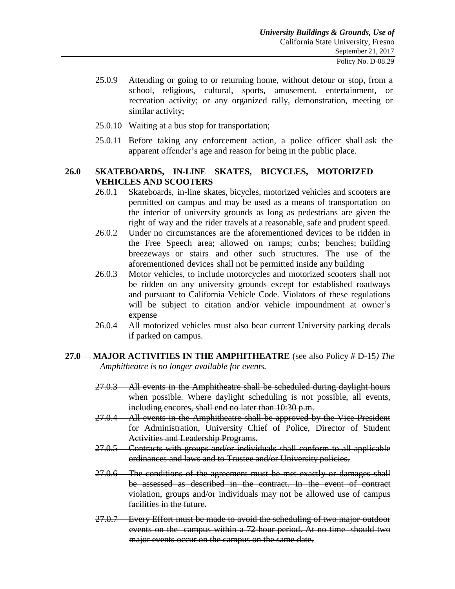- 25.0.9 Attending or going to or returning home, without detour or stop, from a school, religious, cultural, sports, amusement, entertainment, or recreation activity; or any organized rally, demonstration, meeting or similar activity;
- 25.0.10 Waiting at a bus stop for transportation;
- 25.0.11 Before taking any enforcement action, a police officer shall ask the apparent offender's age and reason for being in the public place.

#### **26.0 SKATEBOARDS, IN-LINE SKATES, BICYCLES, MOTORIZED VEHICLES AND SCOOTERS**

- 26.0.1 Skateboards, in-line skates, bicycles, motorized vehicles and scooters are permitted on campus and may be used as a means of transportation on the interior of university grounds as long as pedestrians are given the right of way and the rider travels at a reasonable, safe and prudent speed.
- 26.0.2 Under no circumstances are the aforementioned devices to be ridden in the Free Speech area; allowed on ramps; curbs; benches; building breezeways or stairs and other such structures. The use of the aforementioned devices shall not be permitted inside any building
- 26.0.3 Motor vehicles, to include motorcycles and motorized scooters shall not be ridden on any university grounds except for established roadways and pursuant to California Vehicle Code. Violators of these regulations will be subject to citation and/or vehicle impoundment at owner's expense
- 26.0.4 All motorized vehicles must also bear current University parking decals if parked on campus.
- **27.0 MAJOR ACTIVITIES IN THE AMPHITHEATRE** (see also Policy # D-15*) The Amphitheatre is no longer available for events.*
	- 27.0.3 All events in the Amphitheatre shall be scheduled during daylight hours when possible. Where daylight scheduling is not possible, all events, including encores, shall end no later than 10:30 p.m.
	- 27.0.4 All events in the Amphitheatre shall be approved by the Vice President for Administration, University Chief of Police, Director of Student Activities and Leadership Programs.
	- 27.0.5 Contracts with groups and/or individuals shall conform to all applicable ordinances and laws and to Trustee and/or University policies.
	- 27.0.6 The conditions of the agreement must be met exactly or damages shall be assessed as described in the contract. In the event of contract violation, groups and/or individuals may not be allowed use of campus facilities in the future.
	- 27.0.7 Every Effort must be made to avoid the scheduling of two major outdoor events on the campus within a 72-hour period. At no time should two major events occur on the campus on the same date.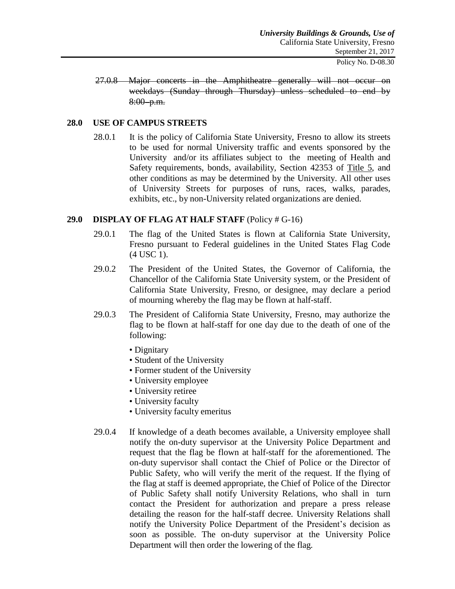27.0.8 Major concerts in the Amphitheatre generally will not occur on weekdays (Sunday through Thursday) unless scheduled to end by  $8:00-p.m.$ 

### **28.0 USE OF CAMPUS STREETS**

28.0.1 It is the policy of California State University, Fresno to allow its streets to be used for normal University traffic and events sponsored by the University and/or its affiliates subject to the meeting of Health and Safety requirements, bonds, availability, Section 42353 of Title 5, and other conditions as may be determined by the University. All other uses of University Streets for purposes of runs, races, walks, parades, exhibits, etc., by non-University related organizations are denied.

### **29.0 DISPLAY OF FLAG AT HALF STAFF** (Policy # G-16)

- 29.0.1 The flag of the United States is flown at California State University, Fresno pursuant to Federal guidelines in the United States Flag Code (4 USC 1).
- 29.0.2 The President of the United States, the Governor of California, the Chancellor of the California State University system, or the President of California State University, Fresno, or designee, may declare a period of mourning whereby the flag may be flown at half-staff.
- 29.0.3 The President of California State University, Fresno, may authorize the flag to be flown at half-staff for one day due to the death of one of the following:
	- Dignitary
	- Student of the University
	- Former student of the University
	- University employee
	- University retiree
	- University faculty
	- University faculty emeritus
- 29.0.4 If knowledge of a death becomes available, a University employee shall notify the on-duty supervisor at the University Police Department and request that the flag be flown at half-staff for the aforementioned. The on-duty supervisor shall contact the Chief of Police or the Director of Public Safety, who will verify the merit of the request. If the flying of the flag at staff is deemed appropriate, the Chief of Police of the Director of Public Safety shall notify University Relations, who shall in turn contact the President for authorization and prepare a press release detailing the reason for the half-staff decree. University Relations shall notify the University Police Department of the President's decision as soon as possible. The on-duty supervisor at the University Police Department will then order the lowering of the flag.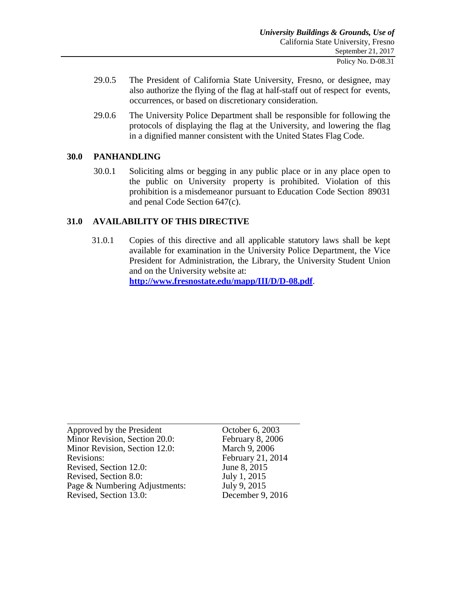- 29.0.5 The President of California State University, Fresno, or designee, may also authorize the flying of the flag at half-staff out of respect for events, occurrences, or based on discretionary consideration.
- 29.0.6 The University Police Department shall be responsible for following the protocols of displaying the flag at the University, and lowering the flag in a dignified manner consistent with the United States Flag Code.

### **30.0 PANHANDLING**

30.0.1 Soliciting alms or begging in any public place or in any place open to the public on University property is prohibited. Violation of this prohibition is a misdemeanor pursuant to Education Code Section 89031 and penal Code Section 647(c).

## **31.0 AVAILABILITY OF THIS DIRECTIVE**

31.0.1 Copies of this directive and all applicable statutory laws shall be kept available for examination in the University Police Department, the Vice President for Administration, the Library, the University Student Union and on the University website at:

**<http://www.fresnostate.edu/mapp/III/D/D-08.pdf>**.

Approved by the President Correspondent Correspondent October 6, 2003<br>
Minor Revision, Section 20.0: February 8, 2006 Minor Revision, Section 20.0: Minor Revision, Section 12.0: March 9, 2006 Revisions: February 21, 2014<br>Revised, Section 12.0: June 8, 2015 Revised, Section 12.0: Revised, Section 8.0: July 1, 2015 Page & Numbering Adjustments: July 9, 2015 Revised, Section 13.0: December 9, 2016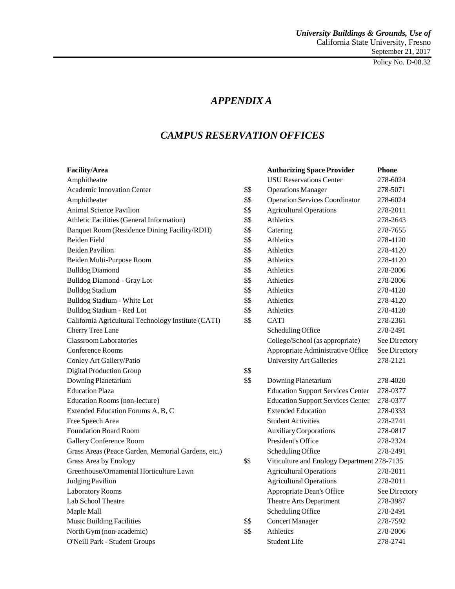*University Buildings & Grounds, Use of* California State University, Fresno September 21, 2017

Policy No. D-08.32

# *APPENDIX A*

# *CAMPUS RESERVATION OFFICES*

### **Facility/Area**

| Amphitheatre                                        |      | <b>USU</b> Reservations Center              | 278-6024  |
|-----------------------------------------------------|------|---------------------------------------------|-----------|
| Academic Innovation Center                          | \$\$ | <b>Operations Manager</b>                   | 278-5071  |
| Amphitheater                                        | \$\$ | <b>Operation Services Coordinator</b>       | 278-6024  |
| Animal Science Pavilion                             | \$\$ | <b>Agricultural Operations</b>              | 278-2011  |
| Athletic Facilities (General Information)           | \$\$ | Athletics                                   | 278-2643  |
| Banquet Room (Residence Dining Facility/RDH)        | \$\$ | Catering                                    | 278-7655  |
| Beiden Field                                        | \$\$ | Athletics                                   | 278-4120  |
| <b>Beiden Pavilion</b>                              | \$\$ | Athletics                                   | 278-4120  |
| Beiden Multi-Purpose Room                           | \$\$ | Athletics                                   | 278-4120  |
| <b>Bulldog Diamond</b>                              | \$\$ | Athletics                                   | 278-2006  |
| <b>Bulldog Diamond - Gray Lot</b>                   | \$\$ | Athletics                                   | 278-2006  |
| <b>Bulldog Stadium</b>                              | \$\$ | Athletics                                   | 278-4120  |
| Bulldog Stadium - White Lot                         | \$\$ | Athletics                                   | 278-4120  |
| Bulldog Stadium - Red Lot                           | \$\$ | Athletics                                   | 278-4120  |
| California Agricultural Technology Institute (CATI) | \$\$ | CATI                                        | 278-2361  |
| Cherry Tree Lane                                    |      | Scheduling Office                           | 278-2491  |
| <b>Classroom Laboratories</b>                       |      | College/School (as appropriate)             | See Direc |
| Conference Rooms                                    |      | Appropriate Administrative Office           | See Direc |
| Conley Art Gallery/Patio                            |      | <b>University Art Galleries</b>             | 278-2121  |
| <b>Digital Production Group</b>                     | \$\$ |                                             |           |
| Downing Planetarium                                 | \$\$ | Downing Planetarium                         | 278-4020  |
| <b>Education Plaza</b>                              |      | <b>Education Support Services Center</b>    | 278-0377  |
| Education Rooms (non-lecture)                       |      | <b>Education Support Services Center</b>    | 278-0377  |
| Extended Education Forums A, B, C                   |      | <b>Extended Education</b>                   | 278-0333  |
| Free Speech Area                                    |      | <b>Student Activities</b>                   | 278-2741  |
| <b>Foundation Board Room</b>                        |      | <b>Auxiliary Corporations</b>               | 278-0817  |
| <b>Gallery Conference Room</b>                      |      | President's Office                          | 278-2324  |
| Grass Areas (Peace Garden, Memorial Gardens, etc.)  |      | Scheduling Office                           | 278-2491  |
| Grass Area by Enology                               | \$\$ | Viticulture and Enology Department 278-7135 |           |
| Greenhouse/Ornamental Horticulture Lawn             |      | <b>Agricultural Operations</b>              | 278-2011  |
| <b>Judging Pavilion</b>                             |      | <b>Agricultural Operations</b>              | 278-2011  |
| Laboratory Rooms                                    |      | Appropriate Dean's Office                   | See Direc |
| Lab School Theatre                                  |      | Theatre Arts Department                     | 278-3987  |
| Maple Mall                                          |      | Scheduling Office                           | 278-2491  |
| <b>Music Building Facilities</b>                    | \$\$ | <b>Concert Manager</b>                      | 278-7592  |
| North Gym (non-academic)                            | \$\$ | Athletics                                   | 278-2006  |
| O'Neill Park - Student Groups                       |      | Student Life                                | 278-2741  |

| <b>Facility/Area</b>                                |      | <b>Authorizing Space Provider</b>           | <b>Phone</b>  |
|-----------------------------------------------------|------|---------------------------------------------|---------------|
| Amphitheatre                                        |      | <b>USU Reservations Center</b>              | 278-6024      |
| <b>Academic Innovation Center</b>                   | \$\$ | <b>Operations Manager</b>                   | 278-5071      |
| Amphitheater                                        | \$\$ | <b>Operation Services Coordinator</b>       | 278-6024      |
| <b>Animal Science Pavilion</b>                      | \$\$ | <b>Agricultural Operations</b>              | 278-2011      |
| Athletic Facilities (General Information)           | \$\$ | Athletics                                   | 278-2643      |
| Banquet Room (Residence Dining Facility/RDH)        | \$\$ | Catering                                    | 278-7655      |
| Beiden Field                                        | \$\$ | Athletics                                   | 278-4120      |
| <b>Beiden Pavilion</b>                              | \$\$ | Athletics                                   | 278-4120      |
| Beiden Multi-Purpose Room                           | \$\$ | Athletics                                   | 278-4120      |
| <b>Bulldog Diamond</b>                              | \$\$ | Athletics                                   | 278-2006      |
| <b>Bulldog Diamond - Gray Lot</b>                   | \$\$ | Athletics                                   | 278-2006      |
| <b>Bulldog Stadium</b>                              | \$\$ | <b>Athletics</b>                            | 278-4120      |
| Bulldog Stadium - White Lot                         | \$\$ | Athletics                                   | 278-4120      |
| Bulldog Stadium - Red Lot                           | \$\$ | Athletics                                   | 278-4120      |
| California Agricultural Technology Institute (CATI) | \$\$ | <b>CATI</b>                                 | 278-2361      |
| Cherry Tree Lane                                    |      | Scheduling Office                           | 278-2491      |
| <b>Classroom Laboratories</b>                       |      | College/School (as appropriate)             | See Directory |
| <b>Conference Rooms</b>                             |      | Appropriate Administrative Office           | See Directory |
| Conley Art Gallery/Patio                            |      | University Art Galleries                    | 278-2121      |
| <b>Digital Production Group</b>                     | \$\$ |                                             |               |
| Downing Planetarium                                 | \$\$ | Downing Planetarium                         | 278-4020      |
| <b>Education Plaza</b>                              |      | <b>Education Support Services Center</b>    | 278-0377      |
| <b>Education Rooms (non-lecture)</b>                |      | <b>Education Support Services Center</b>    | 278-0377      |
| Extended Education Forums A, B, C                   |      | <b>Extended Education</b>                   | 278-0333      |
| Free Speech Area                                    |      | <b>Student Activities</b>                   | 278-2741      |
| <b>Foundation Board Room</b>                        |      | <b>Auxiliary Corporations</b>               | 278-0817      |
| <b>Gallery Conference Room</b>                      |      | President's Office                          | 278-2324      |
| Grass Areas (Peace Garden, Memorial Gardens, etc.)  |      | Scheduling Office                           | 278-2491      |
| Grass Area by Enology                               | \$\$ | Viticulture and Enology Department 278-7135 |               |
| Greenhouse/Ornamental Horticulture Lawn             |      | <b>Agricultural Operations</b>              | 278-2011      |
| <b>Judging Pavilion</b>                             |      | <b>Agricultural Operations</b>              | 278-2011      |
| Laboratory Rooms                                    |      | Appropriate Dean's Office                   | See Directory |
| Lab School Theatre                                  |      | Theatre Arts Department                     | 278-3987      |
| Maple Mall                                          |      | Scheduling Office                           | 278-2491      |
| Music Building Facilities                           | \$\$ | <b>Concert Manager</b>                      | 278-7592      |
| North Gym (non-academic)                            | \$\$ | Athletics                                   | 278-2006      |
| <b>O'Neill Park - Student Groups</b>                |      | Student Life                                | 278-2741      |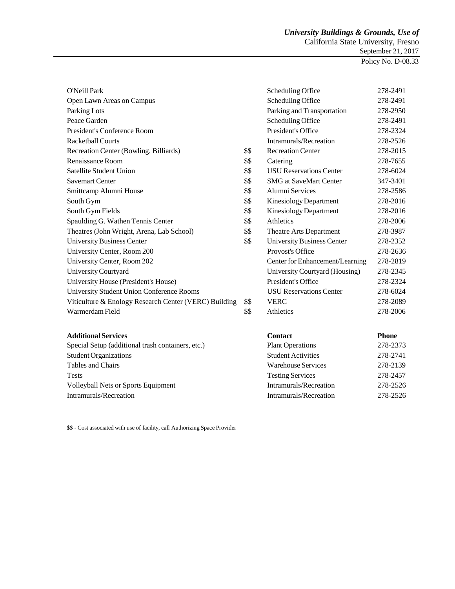*University Buildings & Grounds, Use of* California State University, Fresno September 21, 2017

Policy No. D-08.33

| O'Neill Park                                          |      | Scheduling Office               | 278-2491 |
|-------------------------------------------------------|------|---------------------------------|----------|
| Open Lawn Areas on Campus                             |      | Scheduling Office               | 278-2491 |
| Parking Lots                                          |      | Parking and Transportation      | 278-2950 |
| Peace Garden                                          |      | Scheduling Office               | 278-2491 |
| President's Conference Room                           |      | President's Office              | 278-2324 |
| <b>Racketball Courts</b>                              |      | Intramurals/Recreation          | 278-2526 |
| Recreation Center (Bowling, Billiards)                | \$\$ | <b>Recreation Center</b>        | 278-2015 |
| Renaissance Room                                      | \$\$ | Catering                        | 278-7655 |
| Satellite Student Union                               | \$\$ | <b>USU Reservations Center</b>  | 278-6024 |
| <b>Savemart Center</b>                                | \$\$ | <b>SMG</b> at SaveMart Center   | 347-3401 |
| Smittcamp Alumni House                                | \$\$ | Alumni Services                 | 278-2586 |
| South Gym                                             | \$\$ | Kinesiology Department          | 278-2016 |
| South Gym Fields                                      | \$\$ | Kinesiology Department          | 278-2016 |
| Spaulding G. Wathen Tennis Center                     | \$\$ | Athletics                       | 278-2006 |
| Theatres (John Wright, Arena, Lab School)             | \$\$ | Theatre Arts Department         | 278-3987 |
| <b>University Business Center</b>                     | \$\$ | University Business Center      | 278-2352 |
| University Center, Room 200                           |      | Provost's Office                | 278-2636 |
| University Center, Room 202                           |      | Center for Enhancement/Learning | 278-2819 |
| University Courtyard                                  |      | University Courtyard (Housing)  | 278-2345 |
| University House (President's House)                  |      | President's Office              | 278-2324 |
| University Student Union Conference Rooms             |      | <b>USU Reservations Center</b>  | 278-6024 |
| Viticulture & Enology Research Center (VERC) Building | \$\$ | <b>VERC</b>                     | 278-2089 |
| Warmerdam Field                                       | \$\$ | Athletics                       | 278-2006 |

#### $A$ dditional **Services**

| <b>Additional Services</b>                        | <b>Contact</b>            | <b>Phone</b> |  |
|---------------------------------------------------|---------------------------|--------------|--|
| Special Setup (additional trash containers, etc.) | <b>Plant Operations</b>   | 278-2373     |  |
| <b>Student Organizations</b>                      | <b>Student Activities</b> | 278-2741     |  |
| Tables and Chairs                                 | Warehouse Services        | 278-2139     |  |
| <b>Tests</b>                                      | <b>Testing Services</b>   | 278-2457     |  |
| <b>Volleyball Nets or Sports Equipment</b>        | Intramurals/Recreation    | 278-2526     |  |
| <b>Intramurals/Recreation</b>                     | Intramurals/Recreation    | 278-2526     |  |

\$\$ - Cost associated with use of facility, call Authorizing Space Provider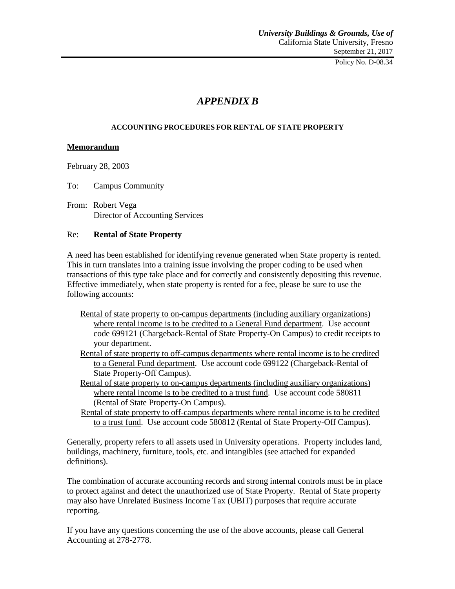# *APPENDIX B*

#### **ACCOUNTING PROCEDURES FOR RENTAL OF STATE PROPERTY**

### **Memorandum**

February 28, 2003

To: Campus Community

From: Robert Vega Director of Accounting Services

### Re: **Rental of State Property**

A need has been established for identifying revenue generated when State property is rented. This in turn translates into a training issue involving the proper coding to be used when transactions of this type take place and for correctly and consistently depositing this revenue. Effective immediately, when state property is rented for a fee, please be sure to use the following accounts:

- Rental of state property to on-campus departments (including auxiliary organizations) where rental income is to be credited to a General Fund department. Use account code 699121 (Chargeback-Rental of State Property-On Campus) to credit receipts to your department.
- Rental of state property to off-campus departments where rental income is to be credited to a General Fund department. Use account code 699122 (Chargeback-Rental of State Property-Off Campus).
- Rental of state property to on-campus departments (including auxiliary organizations) where rental income is to be credited to a trust fund. Use account code 580811 (Rental of State Property-On Campus).
- Rental of state property to off-campus departments where rental income is to be credited to a trust fund. Use account code 580812 (Rental of State Property-Off Campus).

Generally, property refers to all assets used in University operations. Property includes land, buildings, machinery, furniture, tools, etc. and intangibles (see attached for expanded definitions).

The combination of accurate accounting records and strong internal controls must be in place to protect against and detect the unauthorized use of State Property. Rental of State property may also have Unrelated Business Income Tax (UBIT) purposes that require accurate reporting.

If you have any questions concerning the use of the above accounts, please call General Accounting at 278-2778.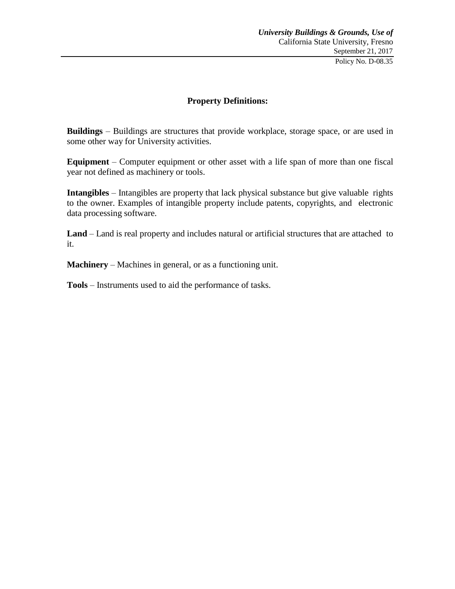## **Property Definitions:**

**Buildings** – Buildings are structures that provide workplace, storage space, or are used in some other way for University activities.

**Equipment** – Computer equipment or other asset with a life span of more than one fiscal year not defined as machinery or tools.

**Intangibles** – Intangibles are property that lack physical substance but give valuable rights to the owner. Examples of intangible property include patents, copyrights, and electronic data processing software.

**Land** – Land is real property and includes natural or artificial structures that are attached to it.

**Machinery** – Machines in general, or as a functioning unit.

**Tools** – Instruments used to aid the performance of tasks.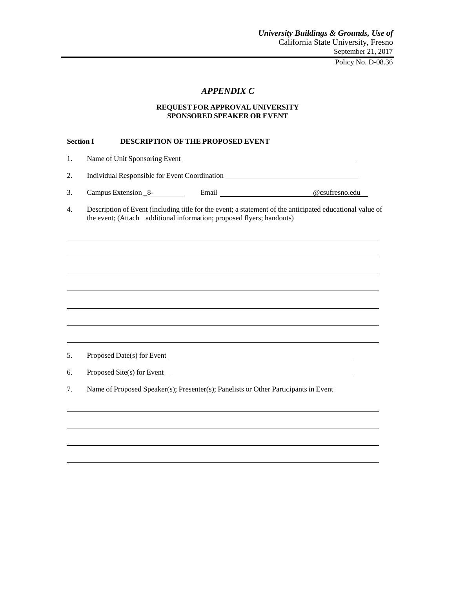#### *APPENDIX C*

#### **REQUEST FOR APPROVAL UNIVERSITY SPONSORED SPEAKER OR EVENT**

#### **Section I DESCRIPTION OF THE PROPOSED EVENT**

1. Name of Unit Sponsoring Event

2. Individual Responsible for Event Coordination

| J. | $\mathcal{L}$ ampus Extension 8- | Email | @csufresno.edu |  |
|----|----------------------------------|-------|----------------|--|
|    |                                  |       |                |  |

4. Description of Event (including title for the event; a statement of the anticipated educational value of the event; (Attach additional information; proposed flyers; handouts)

5. Proposed Date(s) for Event

6. Proposed Site(s) for Event

7. Name of Proposed Speaker(s); Presenter(s); Panelists or Other Participants in Event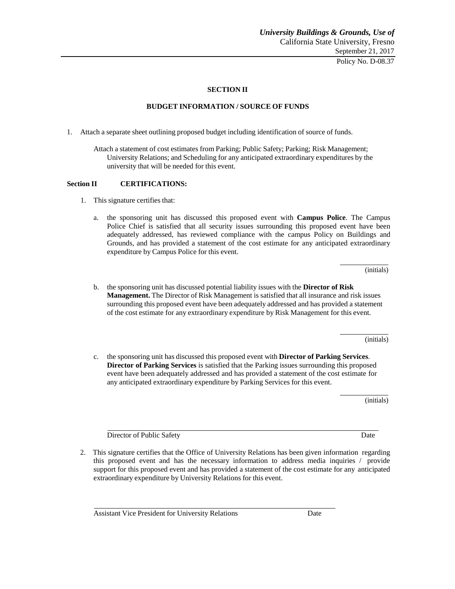#### **SECTION II**

#### **BUDGET INFORMATION / SOURCE OF FUNDS**

1. Attach a separate sheet outlining proposed budget including identification of source of funds.

Attach a statement of cost estimates from Parking; Public Safety; Parking; Risk Management; University Relations; and Scheduling for any anticipated extraordinary expenditures by the university that will be needed for this event.

#### **Section II CERTIFICATIONS:**

- 1. This signature certifies that:
	- a. the sponsoring unit has discussed this proposed event with **Campus Police**. The Campus Police Chief is satisfied that all security issues surrounding this proposed event have been adequately addressed, has reviewed compliance with the campus Policy on Buildings and Grounds, and has provided a statement of the cost estimate for any anticipated extraordinary expenditure by Campus Police for this event.

(initials)

b. the sponsoring unit has discussed potential liability issues with the **Director of Risk Management.** The Director of Risk Management is satisfied that all insurance and risk issues surrounding this proposed event have been adequately addressed and has provided a statement of the cost estimate for any extraordinary expenditure by Risk Management for this event.

(initials)

c. the sponsoring unit has discussed this proposed event with **Director of Parking Services**. **Director of Parking Services** is satisfied that the Parking issues surrounding this proposed event have been adequately addressed and has provided a statement of the cost estimate for any anticipated extraordinary expenditure by Parking Services for this event.

(initials)

Director of Public Safety Date

2. This signature certifies that the Office of University Relations has been given information regarding this proposed event and has the necessary information to address media inquiries / provide support for this proposed event and has provided a statement of the cost estimate for any anticipated extraordinary expenditure by University Relations for this event.

Assistant Vice President for University Relations Date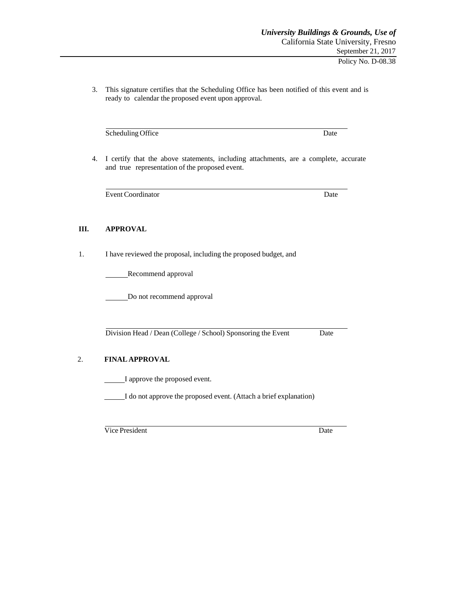3. This signature certifies that the Scheduling Office has been notified of this event and is ready to calendar the proposed event upon approval.

Scheduling Office Date

4. I certify that the above statements, including attachments, are a complete, accurate and true representation of the proposed event.

Event Coordinator Date

**III. APPROVAL**

1. I have reviewed the proposal, including the proposed budget, and

Recommend approval

Do not recommend approval

Division Head / Dean (College / School) Sponsoring the Event Date

#### 2. **FINAL APPROVAL**

I approve the proposed event.

I do not approve the proposed event. (Attach a brief explanation)

Vice President Date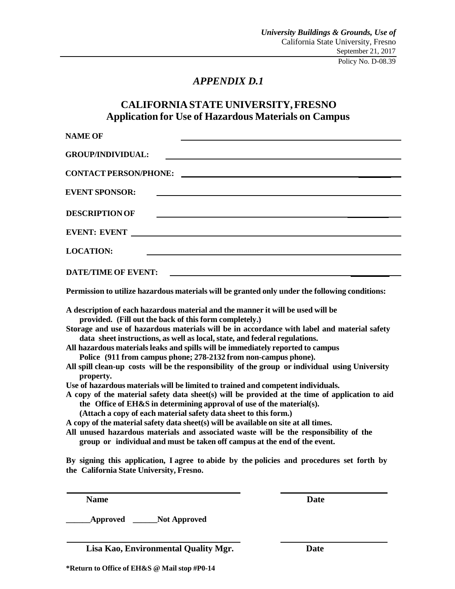# *APPENDIX D.1*

# **CALIFORNIA STATE UNIVERSITY,FRESNO Application for Use of Hazardous Materials on Campus**

| <b>NAME OF</b>                                                                                                                                                            |
|---------------------------------------------------------------------------------------------------------------------------------------------------------------------------|
| <b>GROUP/INDIVIDUAL:</b>                                                                                                                                                  |
| <b>CONTACT PERSON/PHONE:</b>                                                                                                                                              |
| <b>EVENT SPONSOR:</b>                                                                                                                                                     |
| <b>DESCRIPTION OF</b>                                                                                                                                                     |
|                                                                                                                                                                           |
| <b>LOCATION:</b>                                                                                                                                                          |
| <b>DATE/TIME OF EVENT:</b>                                                                                                                                                |
| Permission to utilize hazardous materials will be granted only under the following conditions:                                                                            |
| A description of each hazardous material and the manner it will be used will be<br>provided. (Fill out the back of this form completely.)                                 |
| Storage and use of hazardous materials will be in accordance with label and material safety<br>data sheet instructions, as well as local, state, and federal regulations. |
| All hazardous materials leaks and spills will be immediately reported to campus<br>Police (911 from campus phone; 278-2132 from non-campus phone).                        |
| All spill clean-up costs will be the responsibility of the group or individual using University<br>property.                                                              |
| Use of hazardous materials will be limited to trained and competent individuals.                                                                                          |
| A copy of the material safety data sheet(s) will be provided at the time of application to aid<br>the Office of EH&S in determining approval of use of the material(s).   |
| (Attach a copy of each material safety data sheet to this form.)                                                                                                          |
| A copy of the material safety data sheet(s) will be available on site at all times.                                                                                       |
| All unused hazardous materials and associated waste will be the responsibility of the<br>group or individual and must be taken off campus at the end of the event.        |
| ותמו ובידועי למוניות ובית היהודית לה                                                                                                                                      |

**By signing this application, I agree to abide by the policies and procedures set forth by the California State University, Fresno.**

**Name Date** 

**\_\_\_\_\_\_Approved \_\_\_\_\_\_Not Approved**

**Lisa Kao, Environmental Quality Mgr. Date**

**\*Return to Office of EH&S @ Mail stop #P0-14**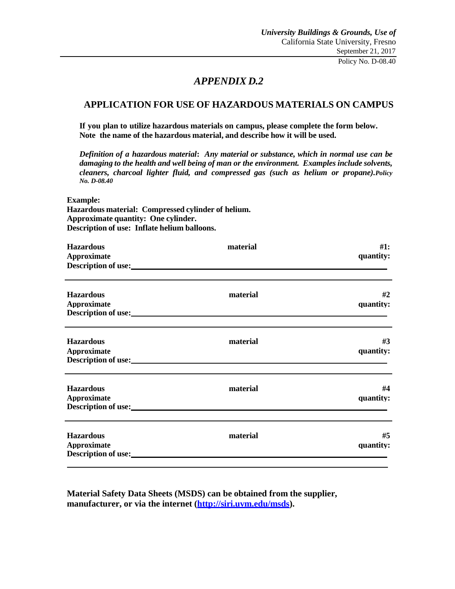# *APPENDIX D.2*

#### **APPLICATION FOR USE OF HAZARDOUS MATERIALS ON CAMPUS**

**If you plan to utilize hazardous materials on campus, please complete the form below. Note the name of the hazardous material, and describe how it will be used.**

*Definition of a hazardous material***:** *Any material or substance, which in normal use can be damaging to the health and well being of man or the environment. Examples include solvents, cleaners, charcoal lighter fluid, and compressed gas (such as helium or propane).Policy No. D-08.40*

**Example:**

**Hazardous material: Compressed cylinder of helium. Approximate quantity: One cylinder. Description of use: Inflate helium balloons.**

| <b>Hazardous</b><br>Approximate                               | material | #1:<br>quantity: |
|---------------------------------------------------------------|----------|------------------|
| <b>Hazardous</b><br>Approximate<br>Description of use:        | material | #2<br>quantity:  |
| <b>Hazardous</b><br>Approximate<br>Description of use:        | material | #3<br>quantity:  |
| <b>Hazardous</b><br>Approximate                               | material | #4<br>quantity:  |
| <b>Hazardous</b><br><b>Approximate</b><br>Description of use: | material | #5<br>quantity:  |

**Material Safety Data Sheets (MSDS) can be obtained from the supplier, manufacturer, or via the internet [\(http://siri.uvm.edu/msds\)](http://siri.uvm.edu/msds).**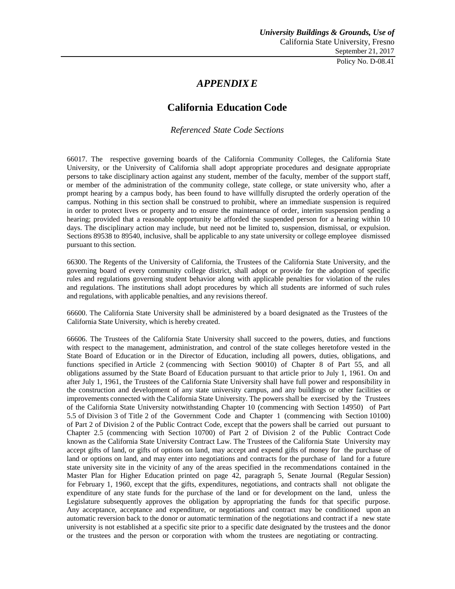# *APPENDIXE*

# **California Education Code**

*Referenced State Code Sections*

66017. The respective governing boards of the California Community Colleges, the California State University, or the University of California shall adopt appropriate procedures and designate appropriate persons to take disciplinary action against any student, member of the faculty, member of the support staff, or member of the administration of the community college, state college, or state university who, after a prompt hearing by a campus body, has been found to have willfully disrupted the orderly operation of the campus. Nothing in this section shall be construed to prohibit, where an immediate suspension is required in order to protect lives or property and to ensure the maintenance of order, interim suspension pending a hearing; provided that a reasonable opportunity be afforded the suspended person for a hearing within 10 days. The disciplinary action may include, but need not be limited to, suspension, dismissal, or expulsion. Sections 89538 to 89540, inclusive, shall be applicable to any state university or college employee dismissed pursuant to this section.

66300. The Regents of the University of California, the Trustees of the California State University, and the governing board of every community college district, shall adopt or provide for the adoption of specific rules and regulations governing student behavior along with applicable penalties for violation of the rules and regulations. The institutions shall adopt procedures by which all students are informed of such rules and regulations, with applicable penalties, and any revisions thereof.

66600. The California State University shall be administered by a board designated as the Trustees of the California State University, which is hereby created.

66606. The Trustees of the California State University shall succeed to the powers, duties, and functions with respect to the management, administration, and control of the state colleges heretofore vested in the State Board of Education or in the Director of Education, including all powers, duties, obligations, and functions specified in Article 2 (commencing with Section 90010) of Chapter 8 of Part 55, and all obligations assumed by the State Board of Education pursuant to that article prior to July 1, 1961. On and after July 1, 1961, the Trustees of the California State University shall have full power and responsibility in the construction and development of any state university campus, and any buildings or other facilities or improvements connected with the California State University. The powers shall be exercised by the Trustees of the California State University notwithstanding Chapter 10 (commencing with Section 14950) of Part 5.5 of Division 3 of Title 2 of the Government Code and Chapter 1 (commencing with Section 10100) of Part 2 of Division 2 of the Public Contract Code, except that the powers shall be carried out pursuant to Chapter 2.5 (commencing with Section 10700) of Part 2 of Division 2 of the Public Contract Code known as the California State University Contract Law. The Trustees of the California State University may accept gifts of land, or gifts of options on land, may accept and expend gifts of money for the purchase of land or options on land, and may enter into negotiations and contracts for the purchase of land for a future state university site in the vicinity of any of the areas specified in the recommendations contained in the Master Plan for Higher Education printed on page 42, paragraph 5, Senate Journal (Regular Session) for February 1, 1960, except that the gifts, expenditures, negotiations, and contracts shall not obligate the expenditure of any state funds for the purchase of the land or for development on the land, unless the Legislature subsequently approves the obligation by appropriating the funds for that specific purpose. Any acceptance, acceptance and expenditure, or negotiations and contract may be conditioned upon an automatic reversion back to the donor or automatic termination of the negotiations and contract if a new state university is not established at a specific site prior to a specific date designated by the trustees and the donor or the trustees and the person or corporation with whom the trustees are negotiating or contracting.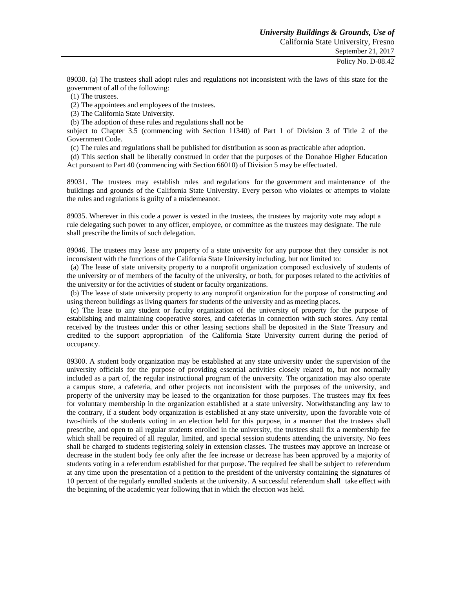89030. (a) The trustees shall adopt rules and regulations not inconsistent with the laws of this state for the government of all of the following:

(1) The trustees.

(2) The appointees and employees of the trustees.

(3) The California State University.

(b) The adoption of these rules and regulations shall not be

subject to Chapter 3.5 (commencing with Section 11340) of Part 1 of Division 3 of Title 2 of the Government Code.

(c) The rules and regulations shall be published for distribution as soon as practicable after adoption.

(d) This section shall be liberally construed in order that the purposes of the Donahoe Higher Education Act pursuant to Part 40 (commencing with Section 66010) of Division 5 may be effectuated.

89031. The trustees may establish rules and regulations for the government and maintenance of the buildings and grounds of the California State University. Every person who violates or attempts to violate the rules and regulations is guilty of a misdemeanor.

89035. Wherever in this code a power is vested in the trustees, the trustees by majority vote may adopt a rule delegating such power to any officer, employee, or committee as the trustees may designate. The rule shall prescribe the limits of such delegation.

89046. The trustees may lease any property of a state university for any purpose that they consider is not inconsistent with the functions of the California State University including, but not limited to:

(a) The lease of state university property to a nonprofit organization composed exclusively of students of the university or of members of the faculty of the university, or both, for purposes related to the activities of the university or for the activities of student or faculty organizations.

(b) The lease of state university property to any nonprofit organization for the purpose of constructing and using thereon buildings as living quarters for students of the university and as meeting places.

(c) The lease to any student or faculty organization of the university of property for the purpose of establishing and maintaining cooperative stores, and cafeterias in connection with such stores. Any rental received by the trustees under this or other leasing sections shall be deposited in the State Treasury and credited to the support appropriation of the California State University current during the period of occupancy.

89300. A student body organization may be established at any state university under the supervision of the university officials for the purpose of providing essential activities closely related to, but not normally included as a part of, the regular instructional program of the university. The organization may also operate a campus store, a cafeteria, and other projects not inconsistent with the purposes of the university, and property of the university may be leased to the organization for those purposes. The trustees may fix fees for voluntary membership in the organization established at a state university. Notwithstanding any law to the contrary, if a student body organization is established at any state university, upon the favorable vote of two-thirds of the students voting in an election held for this purpose, in a manner that the trustees shall prescribe, and open to all regular students enrolled in the university, the trustees shall fix a membership fee which shall be required of all regular, limited, and special session students attending the university. No fees shall be charged to students registering solely in extension classes. The trustees may approve an increase or decrease in the student body fee only after the fee increase or decrease has been approved by a majority of students voting in a referendum established for that purpose. The required fee shall be subject to referendum at any time upon the presentation of a petition to the president of the university containing the signatures of 10 percent of the regularly enrolled students at the university. A successful referendum shall take effect with the beginning of the academic year following that in which the election was held.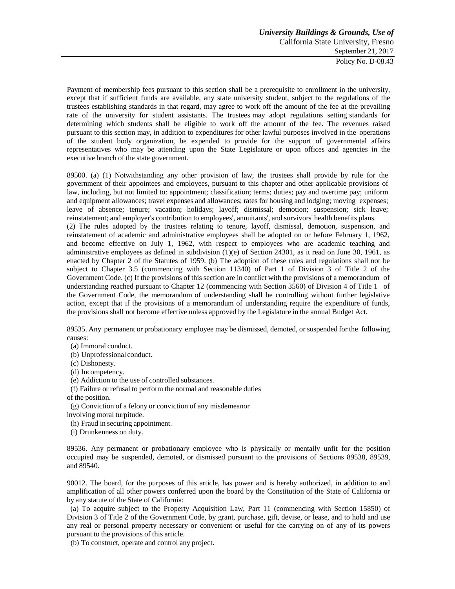Payment of membership fees pursuant to this section shall be a prerequisite to enrollment in the university, except that if sufficient funds are available, any state university student, subject to the regulations of the trustees establishing standards in that regard, may agree to work off the amount of the fee at the prevailing rate of the university for student assistants. The trustees may adopt regulations setting standards for determining which students shall be eligible to work off the amount of the fee. The revenues raised pursuant to this section may, in addition to expenditures for other lawful purposes involved in the operations of the student body organization, be expended to provide for the support of governmental affairs representatives who may be attending upon the State Legislature or upon offices and agencies in the executive branch of the state government.

89500. (a) (1) Notwithstanding any other provision of law, the trustees shall provide by rule for the government of their appointees and employees, pursuant to this chapter and other applicable provisions of law, including, but not limited to: appointment; classification; terms; duties; pay and overtime pay; uniform and equipment allowances; travel expenses and allowances; rates for housing and lodging; moving expenses; leave of absence; tenure; vacation; holidays; layoff; dismissal; demotion; suspension; sick leave; reinstatement; and employer's contribution to employees', annuitants', and survivors' health benefits plans.

(2) The rules adopted by the trustees relating to tenure, layoff, dismissal, demotion, suspension, and reinstatement of academic and administrative employees shall be adopted on or before February 1, 1962, and become effective on July 1, 1962, with respect to employees who are academic teaching and administrative employees as defined in subdivision  $(1)(e)$  of Section 24301, as it read on June 30, 1961, as enacted by Chapter 2 of the Statutes of 1959. (b) The adoption of these rules and regulations shall not be subject to Chapter 3.5 (commencing with Section 11340) of Part 1 of Division 3 of Title 2 of the Government Code. (c) If the provisions of this section are in conflict with the provisions of a memorandum of understanding reached pursuant to Chapter 12 (commencing with Section 3560) of Division 4 of Title 1 of the Government Code, the memorandum of understanding shall be controlling without further legislative action, except that if the provisions of a memorandum of understanding require the expenditure of funds, the provisions shall not become effective unless approved by the Legislature in the annual Budget Act.

89535. Any permanent or probationary employee may be dismissed, demoted, or suspended for the following causes:

- (a) Immoral conduct.
- (b) Unprofessional conduct.
- (c) Dishonesty.
- (d) Incompetency.
- (e) Addiction to the use of controlled substances.
- (f) Failure or refusal to perform the normal and reasonable duties
- of the position.
- (g) Conviction of a felony or conviction of any misdemeanor
- involving moral turpitude.
- (h) Fraud in securing appointment.
- (i) Drunkenness on duty.

89536. Any permanent or probationary employee who is physically or mentally unfit for the position occupied may be suspended, demoted, or dismissed pursuant to the provisions of Sections 89538, 89539, and 89540.

90012. The board, for the purposes of this article, has power and is hereby authorized, in addition to and amplification of all other powers conferred upon the board by the Constitution of the State of California or by any statute of the State of California:

(a) To acquire subject to the Property Acquisition Law, Part 11 (commencing with Section 15850) of Division 3 of Title 2 of the Government Code, by grant, purchase, gift, devise, or lease, and to hold and use any real or personal property necessary or convenient or useful for the carrying on of any of its powers pursuant to the provisions of this article.

(b) To construct, operate and control any project.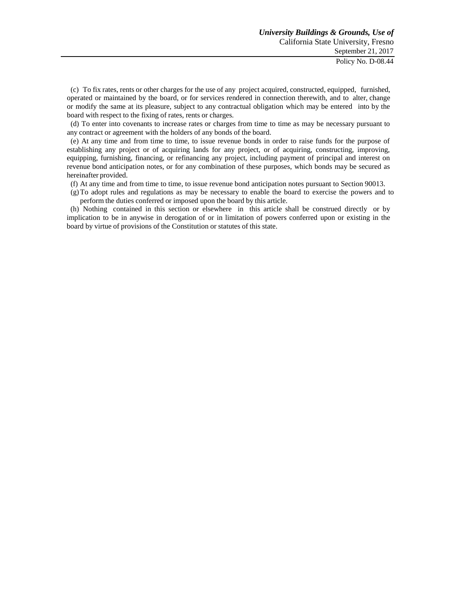(c) To fix rates, rents or other charges for the use of any project acquired, constructed, equipped, furnished, operated or maintained by the board, or for services rendered in connection therewith, and to alter, change or modify the same at its pleasure, subject to any contractual obligation which may be entered into by the board with respect to the fixing of rates, rents or charges.

(d) To enter into covenants to increase rates or charges from time to time as may be necessary pursuant to any contract or agreement with the holders of any bonds of the board.

(e) At any time and from time to time, to issue revenue bonds in order to raise funds for the purpose of establishing any project or of acquiring lands for any project, or of acquiring, constructing, improving, equipping, furnishing, financing, or refinancing any project, including payment of principal and interest on revenue bond anticipation notes, or for any combination of these purposes, which bonds may be secured as hereinafter provided.

(f) At any time and from time to time, to issue revenue bond anticipation notes pursuant to Section 90013.

(g)To adopt rules and regulations as may be necessary to enable the board to exercise the powers and to perform the duties conferred or imposed upon the board by this article.

(h) Nothing contained in this section or elsewhere in this article shall be construed directly or by implication to be in anywise in derogation of or in limitation of powers conferred upon or existing in the board by virtue of provisions of the Constitution or statutes of this state.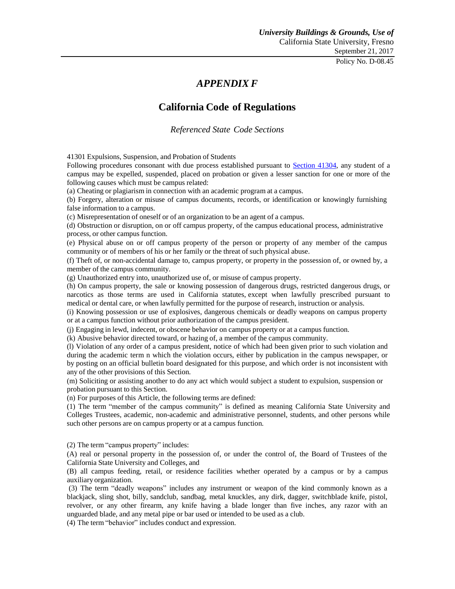# *APPENDIX F*

# **California Code of Regulations**

*Referenced State Code Sections*

41301 Expulsions, Suspension, and Probation of Students

Following procedures consonant with due process established pursuant to [Section](http://ccr.oal.ca.gov/cgi-bin/om_isapi.dll?clientID=522164&amp%3BE22&amp%3BE23=41304&amp%3BE24&amp%3Binfobase=ccr&amp%3Bquerytemplate=%261.%20Go%20to%20a%20Specific%20Section&amp%3Brecord=%7B12503%7D&amp%3Bsoftpage=Browse_Frame_Pg42) 41304, any student of a campus may be expelled, suspended, placed on probation or given a lesser sanction for one or more of the following causes which must be campus related:

(a) Cheating or plagiarism in connection with an academic program at a campus.

(b) Forgery, alteration or misuse of campus documents, records, or identification or knowingly furnishing false information to a campus.

(c) Misrepresentation of oneself or of an organization to be an agent of a campus.

(d) Obstruction or disruption, on or off campus property, of the campus educational process, administrative process, or other campus function.

(e) Physical abuse on or off campus property of the person or property of any member of the campus community or of members of his or her family or the threat of such physical abuse.

(f) Theft of, or non-accidental damage to, campus property, or property in the possession of, or owned by, a member of the campus community.

(g) Unauthorized entry into, unauthorized use of, or misuse of campus property.

(h) On campus property, the sale or knowing possession of dangerous drugs, restricted dangerous drugs, or narcotics as those terms are used in California statutes, except when lawfully prescribed pursuant to medical or dental care, or when lawfully permitted for the purpose of research, instruction or analysis.

(i) Knowing possession or use of explosives, dangerous chemicals or deadly weapons on campus property or at a campus function without prior authorization of the campus president.

(j) Engaging in lewd, indecent, or obscene behavior on campus property or at a campus function.

(k) Abusive behavior directed toward, or hazing of, a member of the campus community.

(l) Violation of any order of a campus president, notice of which had been given prior to such violation and during the academic term n which the violation occurs, either by publication in the campus newspaper, or by posting on an official bulletin board designated for this purpose, and which order is not inconsistent with any of the other provisions of this Section.

(m) Soliciting or assisting another to do any act which would subject a student to expulsion, suspension or probation pursuant to this Section.

(n) For purposes of this Article, the following terms are defined:

(1) The term "member of the campus community" is defined as meaning California State University and Colleges Trustees, academic, non-academic and administrative personnel, students, and other persons while such other persons are on campus property or at a campus function.

(2) The term "campus property" includes:

(A) real or personal property in the possession of, or under the control of, the Board of Trustees of the California State University and Colleges, and

(B) all campus feeding, retail, or residence facilities whether operated by a campus or by a campus auxiliary organization.

(3) The term "deadly weapons" includes any instrument or weapon of the kind commonly known as a blackjack, sling shot, billy, sandclub, sandbag, metal knuckles, any dirk, dagger, switchblade knife, pistol, revolver, or any other firearm, any knife having a blade longer than five inches, any razor with an unguarded blade, and any metal pipe or bar used or intended to be used as a club.

(4) The term "behavior" includes conduct and expression.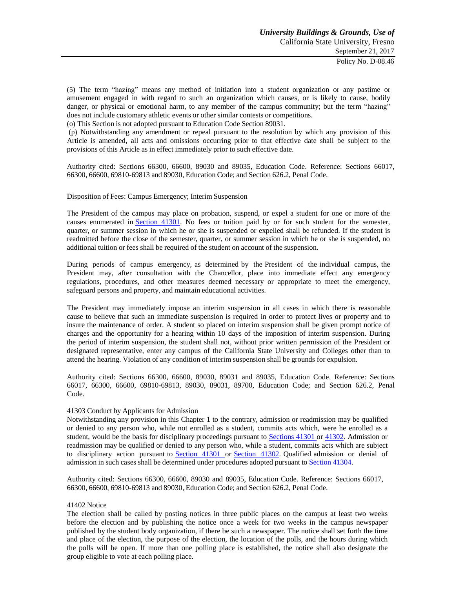(5) The term "hazing" means any method of initiation into a student organization or any pastime or amusement engaged in with regard to such an organization which causes, or is likely to cause, bodily danger, or physical or emotional harm, to any member of the campus community; but the term "hazing" does not include customary athletic events or other similar contests or competitions.

(o) This Section is not adopted pursuant to Education Code Section 89031.

(p) Notwithstanding any amendment or repeal pursuant to the resolution by which any provision of this Article is amended, all acts and omissions occurring prior to that effective date shall be subject to the provisions of this Article as in effect immediately prior to such effective date.

Authority cited: Sections 66300, 66600, 89030 and 89035, Education Code. Reference: Sections 66017, 66300, 66600, 69810-69813 and 89030, Education Code; and Section 626.2, Penal Code.

#### Disposition of Fees: Campus Emergency; Interim Suspension

The President of the campus may place on probation, suspend, or expel a student for one or more of the causes enumerated in [Section](http://ccr.oal.ca.gov/cgi-bin/om_isapi.dll?clientID=522212&amp%3BE22&amp%3BE23=41301&amp%3BE24&amp%3Binfobase=ccr&amp%3Bquerytemplate=%261.%20Go%20to%20a%20Specific%20Section&amp%3Brecord=%7B124EB%7D&amp%3Bsoftpage=Browse_Frame_Pg42) 41301. No fees or tuition paid by or for such student for the semester, quarter, or summer session in which he or she is suspended or expelled shall be refunded. If the student is readmitted before the close of the semester, quarter, or summer session in which he or she is suspended, no additional tuition or fees shall be required of the student on account of the suspension.

During periods of campus emergency, as determined by the President of the individual campus, the President may, after consultation with the Chancellor, place into immediate effect any emergency regulations, procedures, and other measures deemed necessary or appropriate to meet the emergency, safeguard persons and property, and maintain educational activities.

The President may immediately impose an interim suspension in all cases in which there is reasonable cause to believe that such an immediate suspension is required in order to protect lives or property and to insure the maintenance of order. A student so placed on interim suspension shall be given prompt notice of charges and the opportunity for a hearing within 10 days of the imposition of interim suspension. During the period of interim suspension, the student shall not, without prior written permission of the President or designated representative, enter any campus of the California State University and Colleges other than to attend the hearing. Violation of any condition of interim suspension shall be grounds for expulsion.

Authority cited: Sections 66300, 66600, 89030, 89031 and 89035, Education Code. Reference: Sections 66017, 66300, 66600, 69810-69813, 89030, 89031, 89700, Education Code; and Section 626.2, Penal Code.

#### 41303 Conduct by Applicants for Admission

Notwithstanding any provision in this Chapter 1 to the contrary, admission or readmission may be qualified or denied to any person who, while not enrolled as a student, commits acts which, were he enrolled as a student, would be the basis for disciplinary proceedings pursuant to [Sections](http://ccr.oal.ca.gov/cgi-bin/om_isapi.dll?clientID=522212&amp%3BE22&amp%3BE23=41301&amp%3BE24&amp%3Binfobase=ccr&amp%3Bquerytemplate=%261.%20Go%20to%20a%20Specific%20Section&amp%3Brecord=%7B124EB%7D&amp%3Bsoftpage=Browse_Frame_Pg42) 41301 or [41302.](http://ccr.oal.ca.gov/cgi-bin/om_isapi.dll?clientID=522245&amp%3BE22&amp%3BE23=41302&amp%3BE24&amp%3Binfobase=ccr&amp%3Bquerytemplate=%261.%20Go%20to%20a%20Specific%20Section&amp%3Brecord=%7B124F2%7D&amp%3Bsoftpage=Browse_Frame_Pg42) Admission or readmission may be qualified or denied to any person who, while a student, commits acts which are subject to disciplinary action pursuant to [Section](http://ccr.oal.ca.gov/cgi-bin/om_isapi.dll?clientID=522212&amp%3BE22&amp%3BE23=41301&amp%3BE24&amp%3Binfobase=ccr&amp%3Bquerytemplate=%261.%20Go%20to%20a%20Specific%20Section&amp%3Brecord=%7B124EB%7D&amp%3Bsoftpage=Browse_Frame_Pg42) 41301 or [Section](http://ccr.oal.ca.gov/cgi-bin/om_isapi.dll?clientID=522245&amp%3BE22&amp%3BE23=41302&amp%3BE24&amp%3Binfobase=ccr&amp%3Bquerytemplate=%261.%20Go%20to%20a%20Specific%20Section&amp%3Brecord=%7B124F2%7D&amp%3Bsoftpage=Browse_Frame_Pg42) 41302. Qualified admission or denial of admission in such cases shall be determined under procedures adopted pursuant to [Section](http://ccr.oal.ca.gov/cgi-bin/om_isapi.dll?clientID=522164&amp%3BE22&amp%3BE23=41304&amp%3BE24&amp%3Binfobase=ccr&amp%3Bquerytemplate=%261.%20Go%20to%20a%20Specific%20Section&amp%3Brecord=%7B12503%7D&amp%3Bsoftpage=Browse_Frame_Pg42) 41304.

Authority cited: Sections 66300, 66600, 89030 and 89035, Education Code. Reference: Sections 66017, 66300, 66600, 69810-69813 and 89030, Education Code; and Section 626.2, Penal Code.

#### 41402 Notice

The election shall be called by posting notices in three public places on the campus at least two weeks before the election and by publishing the notice once a week for two weeks in the campus newspaper published by the student body organization, if there be such a newspaper. The notice shall set forth the time and place of the election, the purpose of the election, the location of the polls, and the hours during which the polls will be open. If more than one polling place is established, the notice shall also designate the group eligible to vote at each polling place.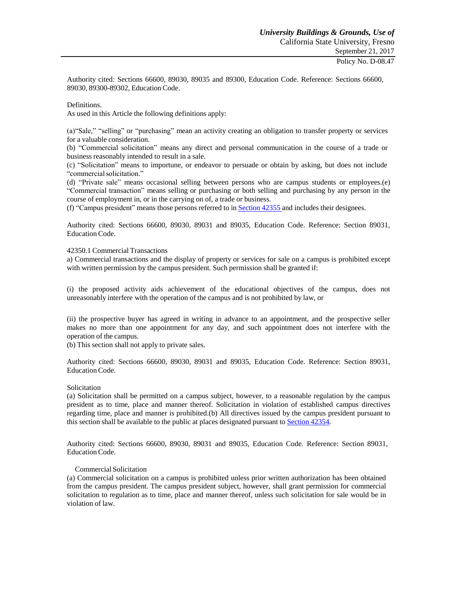Authority cited: Sections 66600, 89030, 89035 and 89300, Education Code. Reference: Sections 66600, 89030, 89300-89302, Education Code.

#### Definitions.

As used in this Article the following definitions apply:

(a)"Sale," "selling" or "purchasing" mean an activity creating an obligation to transfer property or services for a valuable consideration.

(b) "Commercial solicitation" means any direct and personal communication in the course of a trade or business reasonably intended to result in a sale.

(c) "Solicitation" means to importune, or endeavor to persuade or obtain by asking, but does not include "commercial solicitation."

(d) "Private sale" means occasional selling between persons who are campus students or employees.(e) "Commercial transaction" means selling or purchasing or both selling and purchasing by any person in the course of employment in, or in the carrying on of, a trade or business.

(f) "Campus president" means those persons referred to in [Section](http://ccr.oal.ca.gov/cgi-bin/om_isapi.dll?clientID=522268&amp%3BE22&amp%3BE23=42355&amp%3BE24&amp%3Binfobase=ccr&amp%3Bquerytemplate=%261.%20Go%20to%20a%20Specific%20Section&amp%3Brecord=%7B127E3%7D&amp%3Bsoftpage=Browse_Frame_Pg42) 42355 and includes their designees.

Authority cited: Sections 66600, 89030, 89031 and 89035, Education Code. Reference: Section 89031, Education Code.

#### 42350.1 Commercial Transactions

a) Commercial transactions and the display of property or services for sale on a campus is prohibited except with written permission by the campus president. Such permission shall be granted if:

(i) the proposed activity aids achievement of the educational objectives of the campus, does not unreasonably interfere with the operation of the campus and is not prohibited by law, or

(ii) the prospective buyer has agreed in writing in advance to an appointment, and the prospective seller makes no more than one appointment for any day, and such appointment does not interfere with the operation of the campus.

(b) This section shall not apply to private sales.

Authority cited: Sections 66600, 89030, 89031 and 89035, Education Code. Reference: Section 89031, Education Code.

#### Solicitation

(a) Solicitation shall be permitted on a campus subject, however, to a reasonable regulation by the campus president as to time, place and manner thereof. Solicitation in violation of established campus directives regarding time, place and manner is prohibited.(b) All directives issued by the campus president pursuant to this section shall be available to the public at places designated pursuant to [Section](http://ccr.oal.ca.gov/cgi-bin/om_isapi.dll?clientID=522272&amp%3BE22&amp%3BE23=42354&amp%3BE24&amp%3Binfobase=ccr&amp%3Bquerytemplate=%261.%20Go%20to%20a%20Specific%20Section&amp%3Brecord=%7B127DC%7D&amp%3Bsoftpage=Browse_Frame_Pg42) 42354.

Authority cited: Sections 66600, 89030, 89031 and 89035, Education Code. Reference: Section 89031, Education Code.

#### Commercial Solicitation

(a) Commercial solicitation on a campus is prohibited unless prior written authorization has been obtained from the campus president. The campus president subject, however, shall grant permission for commercial solicitation to regulation as to time, place and manner thereof, unless such solicitation for sale would be in violation of law.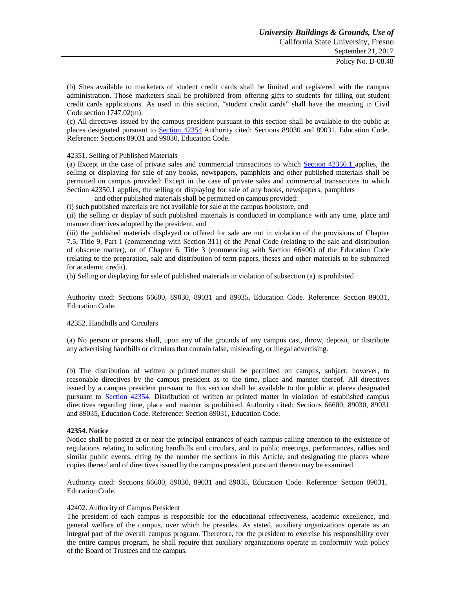(b) Sites available to marketers of student credit cards shall be limited and registered with the campus administration. Those marketers shall be prohibited from offering gifts to students for filling out student credit cards applications. As used in this section, "student credit cards" shall have the meaning in Civil Code section 1747.02(m).

(c) All directives issued by the campus president pursuant to this section shall be available to the public at places designated pursuant to Section [42354.A](http://ccr.oal.ca.gov/cgi-bin/om_isapi.dll?clientID=522272&amp%3BE22&amp%3BE23=42354&amp%3BE24&amp%3Binfobase=ccr&amp%3Bquerytemplate=%261.%20Go%20to%20a%20Specific%20Section&amp%3Brecord=%7B127DC%7D&amp%3Bsoftpage=Browse_Frame_Pg42)uthority cited: Sections 89030 and 89031, Education Code. Reference: Sections 89031 and 99030, Education Code.

#### 42351. Selling of Published Materials

(a) Except in the case of private sales and commercial transactions to which Section [42350.1](http://ccr.oal.ca.gov/cgi-bin/om_isapi.dll?clientID=522288&amp%3BE22&amp%3BE23=42350.1&amp%3BE24&amp%3Binfobase=ccr&amp%3Bquerytemplate=%261.%20Go%20to%20a%20Specific%20Section&amp%3Brecord=%7B127AA%7D&amp%3Bsoftpage=Browse_Frame_Pg42) applies, the selling or displaying for sale of any books, newspapers, pamphlets and other published materials shall be permitted on campus provided: Except in the case of private sales and commercial transactions to which Section 42350.1 applies, the selling or displaying for sale of any books, newspapers, pamphlets

and other published materials shall be permitted on campus provided:

(i) such published materials are not available for sale at the campus bookstore, and

(ii) the selling or display of such published materials is conducted in compliance with any time, place and manner directives adopted by the president, and

(iii) the published materials displayed or offered for sale are not in violation of the provisions of Chapter 7.5, Title 9, Part 1 (commencing with Section 311) of the Penal Code (relating to the sale and distribution of obscene matter), or of Chapter 6, Title 3 (commencing with Section 66400) of the Education Code (relating to the preparation, sale and distribution of term papers, theses and other materials to be submitted for academic credit).

(b) Selling or displaying for sale of published materials in violation of subsection (a) is prohibited

Authority cited: Sections 66600, 89030, 89031 and 89035, Education Code. Reference: Section 89031, Education Code.

#### 42352. Handbills and Circulars

(a) No person or persons shall, upon any of the grounds of any campus cast, throw, deposit, or distribute any advertising handbills or circulars that contain false, misleading, or illegal advertising.

(b) The distribution of written or printed matter shall be permitted on campus, subject, however, to reasonable directives by the campus president as to the time, place and manner thereof. All directives issued by a campus president pursuant to this section shall be available to the public at places designated pursuant to [Section](http://ccr.oal.ca.gov/cgi-bin/om_isapi.dll?clientID=522272&amp%3BE22&amp%3BE23=42354&amp%3BE24&amp%3Binfobase=ccr&amp%3Bquerytemplate=%261.%20Go%20to%20a%20Specific%20Section&amp%3Brecord=%7B127DC%7D&amp%3Bsoftpage=Browse_Frame_Pg42) 42354. Distribution of written or printed matter in violation of established campus directives regarding time, place and manner is prohibited. Authority cited: Sections 66600, 89030, 89031 and 89035, Education Code. Reference: Section 89031, Education Code.

#### **42354. Notice**

Notice shall be posted at or near the principal entrances of each campus calling attention to the existence of regulations relating to soliciting handbills and circulars, and to public meetings, performances, rallies and similar public events, citing by the number the sections in this Article, and designating the places where copies thereof and of directives issued by the campus president pursuant thereto may be examined.

Authority cited: Sections 66600, 89030, 89031 and 89035, Education Code. Reference: Section 89031, Education Code.

#### 42402. Authority of Campus President

The president of each campus is responsible for the educational effectiveness, academic excellence, and general welfare of the campus, over which he presides. As stated, auxiliary organizations operate as an integral part of the overall campus program. Therefore, for the president to exercise his responsibility over the entire campus program, he shall require that auxiliary organizations operate in conformity with policy of the Board of Trustees and the campus.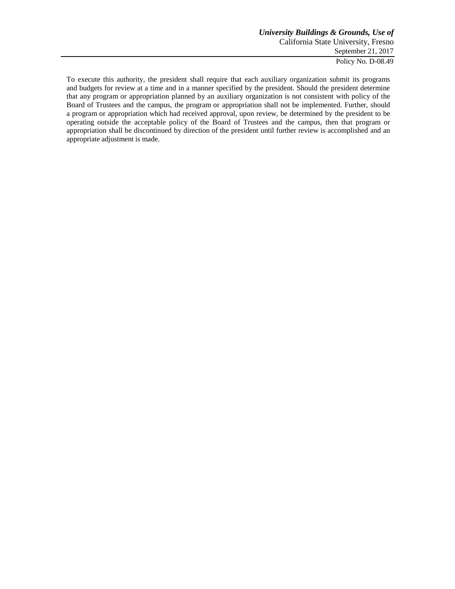To execute this authority, the president shall require that each auxiliary organization submit its programs and budgets for review at a time and in a manner specified by the president. Should the president determine that any program or appropriation planned by an auxiliary organization is not consistent with policy of the Board of Trustees and the campus, the program or appropriation shall not be implemented. Further, should a program or appropriation which had received approval, upon review, be determined by the president to be operating outside the acceptable policy of the Board of Trustees and the campus, then that program or appropriation shall be discontinued by direction of the president until further review is accomplished and an appropriate adjustment is made.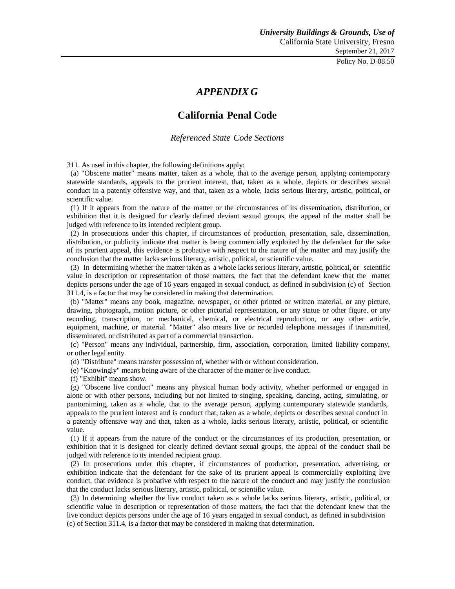#### *APPENDIX G*

## **California Penal Code**

*Referenced State Code Sections*

311. As used in this chapter, the following definitions apply:

(a) "Obscene matter" means matter, taken as a whole, that to the average person, applying contemporary statewide standards, appeals to the prurient interest, that, taken as a whole, depicts or describes sexual conduct in a patently offensive way, and that, taken as a whole, lacks serious literary, artistic, political, or scientific value.

(1) If it appears from the nature of the matter or the circumstances of its dissemination, distribution, or exhibition that it is designed for clearly defined deviant sexual groups, the appeal of the matter shall be judged with reference to its intended recipient group.

(2) In prosecutions under this chapter, if circumstances of production, presentation, sale, dissemination, distribution, or publicity indicate that matter is being commercially exploited by the defendant for the sake of its prurient appeal, this evidence is probative with respect to the nature of the matter and may justify the conclusion that the matter lacks serious literary, artistic, political, or scientific value.

(3) In determining whether the matter taken as a whole lacks serious literary, artistic, political, or scientific value in description or representation of those matters, the fact that the defendant knew that the matter depicts persons under the age of 16 years engaged in sexual conduct, as defined in subdivision (c) of Section 311.4, is a factor that may be considered in making that determination.

(b) "Matter" means any book, magazine, newspaper, or other printed or written material, or any picture, drawing, photograph, motion picture, or other pictorial representation, or any statue or other figure, or any recording, transcription, or mechanical, chemical, or electrical reproduction, or any other article, equipment, machine, or material. "Matter" also means live or recorded telephone messages if transmitted, disseminated, or distributed as part of a commercial transaction.

(c) "Person" means any individual, partnership, firm, association, corporation, limited liability company, or other legal entity.

(d) "Distribute" means transfer possession of, whether with or without consideration.

(e) "Knowingly" means being aware of the character of the matter or live conduct.

(f) "Exhibit" means show.

(g) "Obscene live conduct" means any physical human body activity, whether performed or engaged in alone or with other persons, including but not limited to singing, speaking, dancing, acting, simulating, or pantomiming, taken as a whole, that to the average person, applying contemporary statewide standards, appeals to the prurient interest and is conduct that, taken as a whole, depicts or describes sexual conduct in a patently offensive way and that, taken as a whole, lacks serious literary, artistic, political, or scientific value.

(1) If it appears from the nature of the conduct or the circumstances of its production, presentation, or exhibition that it is designed for clearly defined deviant sexual groups, the appeal of the conduct shall be judged with reference to its intended recipient group.

(2) In prosecutions under this chapter, if circumstances of production, presentation, advertising, or exhibition indicate that the defendant for the sake of its prurient appeal is commercially exploiting live conduct, that evidence is probative with respect to the nature of the conduct and may justify the conclusion that the conduct lacks serious literary, artistic, political, or scientific value.

(3) In determining whether the live conduct taken as a whole lacks serious literary, artistic, political, or scientific value in description or representation of those matters, the fact that the defendant knew that the live conduct depicts persons under the age of 16 years engaged in sexual conduct, as defined in subdivision (c) of Section 311.4, is a factor that may be considered in making that determination.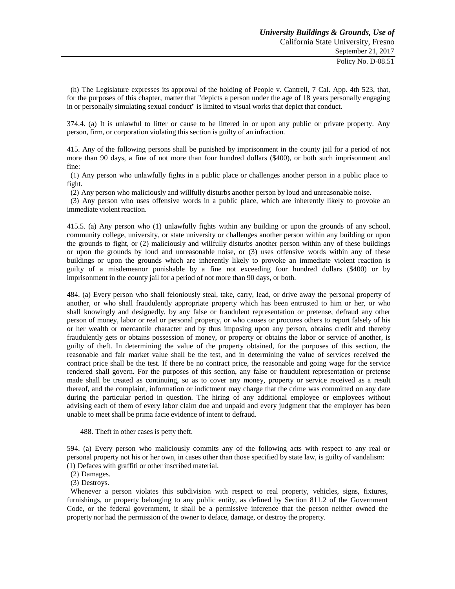(h) The Legislature expresses its approval of the holding of People v. Cantrell, 7 Cal. App. 4th 523, that, for the purposes of this chapter, matter that "depicts a person under the age of 18 years personally engaging in or personally simulating sexual conduct" is limited to visual works that depict that conduct.

374.4. (a) It is unlawful to litter or cause to be littered in or upon any public or private property. Any person, firm, or corporation violating this section is guilty of an infraction.

415. Any of the following persons shall be punished by imprisonment in the county jail for a period of not more than 90 days, a fine of not more than four hundred dollars (\$400), or both such imprisonment and fine:

(1) Any person who unlawfully fights in a public place or challenges another person in a public place to fight.

(2) Any person who maliciously and willfully disturbs another person by loud and unreasonable noise.

(3) Any person who uses offensive words in a public place, which are inherently likely to provoke an immediate violent reaction.

415.5. (a) Any person who (1) unlawfully fights within any building or upon the grounds of any school, community college, university, or state university or challenges another person within any building or upon the grounds to fight, or (2) maliciously and willfully disturbs another person within any of these buildings or upon the grounds by loud and unreasonable noise, or (3) uses offensive words within any of these buildings or upon the grounds which are inherently likely to provoke an immediate violent reaction is guilty of a misdemeanor punishable by a fine not exceeding four hundred dollars (\$400) or by imprisonment in the county jail for a period of not more than 90 days, or both.

484. (a) Every person who shall feloniously steal, take, carry, lead, or drive away the personal property of another, or who shall fraudulently appropriate property which has been entrusted to him or her, or who shall knowingly and designedly, by any false or fraudulent representation or pretense, defraud any other person of money, labor or real or personal property, or who causes or procures others to report falsely of his or her wealth or mercantile character and by thus imposing upon any person, obtains credit and thereby fraudulently gets or obtains possession of money, or property or obtains the labor or service of another, is guilty of theft. In determining the value of the property obtained, for the purposes of this section, the reasonable and fair market value shall be the test, and in determining the value of services received the contract price shall be the test. If there be no contract price, the reasonable and going wage for the service rendered shall govern. For the purposes of this section, any false or fraudulent representation or pretense made shall be treated as continuing, so as to cover any money, property or service received as a result thereof, and the complaint, information or indictment may charge that the crime was committed on any date during the particular period in question. The hiring of any additional employee or employees without advising each of them of every labor claim due and unpaid and every judgment that the employer has been unable to meet shall be prima facie evidence of intent to defraud.

488. Theft in other cases is petty theft.

594. (a) Every person who maliciously commits any of the following acts with respect to any real or personal property not his or her own, in cases other than those specified by state law, is guilty of vandalism: (1) Defaces with graffiti or other inscribed material.

(2) Damages.

(3) Destroys.

Whenever a person violates this subdivision with respect to real property, vehicles, signs, fixtures, furnishings, or property belonging to any public entity, as defined by Section 811.2 of the Government Code, or the federal government, it shall be a permissive inference that the person neither owned the property nor had the permission of the owner to deface, damage, or destroy the property.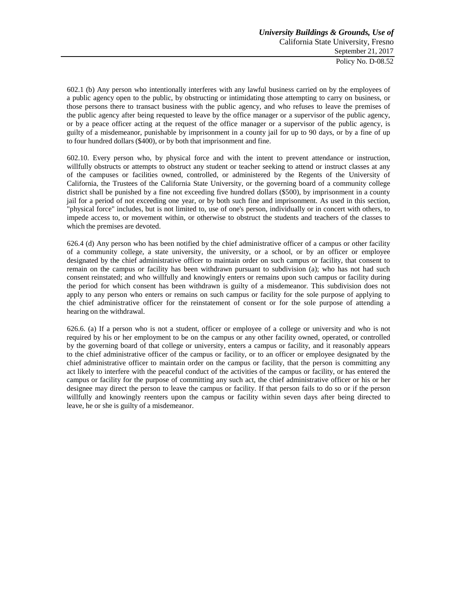602.1 (b) Any person who intentionally interferes with any lawful business carried on by the employees of a public agency open to the public, by obstructing or intimidating those attempting to carry on business, or those persons there to transact business with the public agency, and who refuses to leave the premises of the public agency after being requested to leave by the office manager or a supervisor of the public agency, or by a peace officer acting at the request of the office manager or a supervisor of the public agency, is guilty of a misdemeanor, punishable by imprisonment in a county jail for up to 90 days, or by a fine of up to four hundred dollars (\$400), or by both that imprisonment and fine.

602.10. Every person who, by physical force and with the intent to prevent attendance or instruction, willfully obstructs or attempts to obstruct any student or teacher seeking to attend or instruct classes at any of the campuses or facilities owned, controlled, or administered by the Regents of the University of California, the Trustees of the California State University, or the governing board of a community college district shall be punished by a fine not exceeding five hundred dollars (\$500), by imprisonment in a county jail for a period of not exceeding one year, or by both such fine and imprisonment. As used in this section, "physical force" includes, but is not limited to, use of one's person, individually or in concert with others, to impede access to, or movement within, or otherwise to obstruct the students and teachers of the classes to which the premises are devoted.

626.4 (d) Any person who has been notified by the chief administrative officer of a campus or other facility of a community college, a state university, the university, or a school, or by an officer or employee designated by the chief administrative officer to maintain order on such campus or facility, that consent to remain on the campus or facility has been withdrawn pursuant to subdivision (a); who has not had such consent reinstated; and who willfully and knowingly enters or remains upon such campus or facility during the period for which consent has been withdrawn is guilty of a misdemeanor. This subdivision does not apply to any person who enters or remains on such campus or facility for the sole purpose of applying to the chief administrative officer for the reinstatement of consent or for the sole purpose of attending a hearing on the withdrawal.

626.6. (a) If a person who is not a student, officer or employee of a college or university and who is not required by his or her employment to be on the campus or any other facility owned, operated, or controlled by the governing board of that college or university, enters a campus or facility, and it reasonably appears to the chief administrative officer of the campus or facility, or to an officer or employee designated by the chief administrative officer to maintain order on the campus or facility, that the person is committing any act likely to interfere with the peaceful conduct of the activities of the campus or facility, or has entered the campus or facility for the purpose of committing any such act, the chief administrative officer or his or her designee may direct the person to leave the campus or facility. If that person fails to do so or if the person willfully and knowingly reenters upon the campus or facility within seven days after being directed to leave, he or she is guilty of a misdemeanor.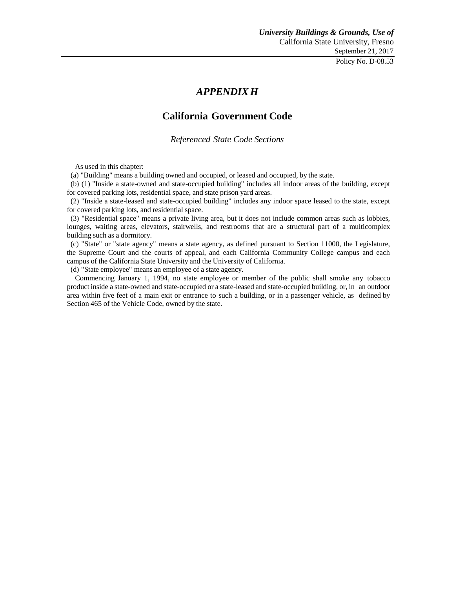# *APPENDIXH*

## **California Government Code**

*Referenced State Code Sections*

As used in this chapter:

(a) "Building" means a building owned and occupied, or leased and occupied, by the state.

(b) (1) "Inside a state-owned and state-occupied building" includes all indoor areas of the building, except for covered parking lots, residential space, and state prison yard areas.

(2) "Inside a state-leased and state-occupied building" includes any indoor space leased to the state, except for covered parking lots, and residential space.

(3) "Residential space" means a private living area, but it does not include common areas such as lobbies, lounges, waiting areas, elevators, stairwells, and restrooms that are a structural part of a multicomplex building such as a dormitory.

(c) "State" or "state agency" means a state agency, as defined pursuant to Section 11000, the Legislature, the Supreme Court and the courts of appeal, and each California Community College campus and each campus of the California State University and the University of California.

(d) "State employee" means an employee of a state agency.

Commencing January 1, 1994, no state employee or member of the public shall smoke any tobacco product inside a state-owned and state-occupied or a state-leased and state-occupied building, or, in an outdoor area within five feet of a main exit or entrance to such a building, or in a passenger vehicle, as defined by Section 465 of the Vehicle Code, owned by the state.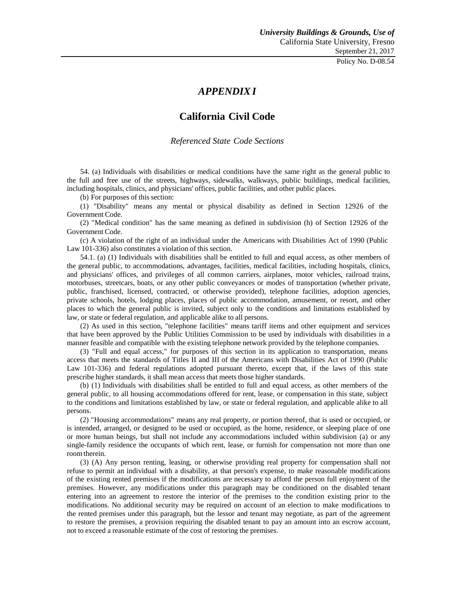### *APPENDIXI*

## **California Civil Code**

*Referenced State Code Sections*

54. (a) Individuals with disabilities or medical conditions have the same right as the general public to the full and free use of the streets, highways, sidewalks, walkways, public buildings, medical facilities, including hospitals, clinics, and physicians' offices, public facilities, and other public places.

(b) For purposes of this section:

(1) "Disability" means any mental or physical disability as defined in Section 12926 of the Government Code.

(2) "Medical condition" has the same meaning as defined in subdivision (h) of Section 12926 of the Government Code.

(c) A violation of the right of an individual under the Americans with Disabilities Act of 1990 (Public Law 101-336) also constitutes a violation of this section.

54.1. (a) (1) Individuals with disabilities shall be entitled to full and equal access, as other members of the general public, to accommodations, advantages, facilities, medical facilities, including hospitals, clinics, and physicians' offices, and privileges of all common carriers, airplanes, motor vehicles, railroad trains, motorbuses, streetcars, boats, or any other public conveyances or modes of transportation (whether private, public, franchised, licensed, contracted, or otherwise provided), telephone facilities, adoption agencies, private schools, hotels, lodging places, places of public accommodation, amusement, or resort, and other places to which the general public is invited, subject only to the conditions and limitations established by law, or state or federal regulation, and applicable alike to all persons.

(2) As used in this section, "telephone facilities" means tariff items and other equipment and services that have been approved by the Public Utilities Commission to be used by individuals with disabilities in a manner feasible and compatible with the existing telephone network provided by the telephone companies.

(3) "Full and equal access," for purposes of this section in its application to transportation, means access that meets the standards of Titles II and III of the Americans with Disabilities Act of 1990 (Public Law 101-336) and federal regulations adopted pursuant thereto, except that, if the laws of this state prescribe higher standards, it shall mean access that meets those higher standards.

(b) (1) Individuals with disabilities shall be entitled to full and equal access, as other members of the general public, to all housing accommodations offered for rent, lease, or compensation in this state, subject to the conditions and limitations established by law, or state or federal regulation, and applicable alike to all persons.

(2) "Housing accommodations" means any real property, or portion thereof, that is used or occupied, or is intended, arranged, or designed to be used or occupied, as the home, residence, or sleeping place of one or more human beings, but shall not include any accommodations included within subdivision (a) or any single-family residence the occupants of which rent, lease, or furnish for compensation not more than one room therein.

(3) (A) Any person renting, leasing, or otherwise providing real property for compensation shall not refuse to permit an individual with a disability, at that person's expense, to make reasonable modifications of the existing rented premises if the modifications are necessary to afford the person full enjoyment of the premises. However, any modifications under this paragraph may be conditioned on the disabled tenant entering into an agreement to restore the interior of the premises to the condition existing prior to the modifications. No additional security may be required on account of an election to make modifications to the rented premises under this paragraph, but the lessor and tenant may negotiate, as part of the agreement to restore the premises, a provision requiring the disabled tenant to pay an amount into an escrow account, not to exceed a reasonable estimate of the cost of restoring the premises.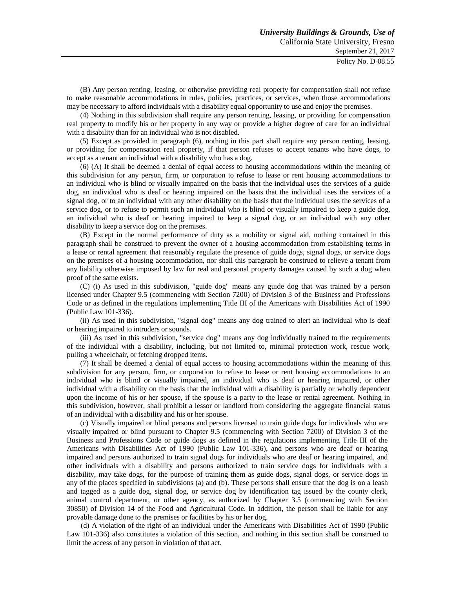(B) Any person renting, leasing, or otherwise providing real property for compensation shall not refuse to make reasonable accommodations in rules, policies, practices, or services, when those accommodations may be necessary to afford individuals with a disability equal opportunity to use and enjoy the premises.

(4) Nothing in this subdivision shall require any person renting, leasing, or providing for compensation real property to modify his or her property in any way or provide a higher degree of care for an individual with a disability than for an individual who is not disabled.

(5) Except as provided in paragraph (6), nothing in this part shall require any person renting, leasing, or providing for compensation real property, if that person refuses to accept tenants who have dogs, to accept as a tenant an individual with a disability who has a dog.

(6) (A) It shall be deemed a denial of equal access to housing accommodations within the meaning of this subdivision for any person, firm, or corporation to refuse to lease or rent housing accommodations to an individual who is blind or visually impaired on the basis that the individual uses the services of a guide dog, an individual who is deaf or hearing impaired on the basis that the individual uses the services of a signal dog, or to an individual with any other disability on the basis that the individual uses the services of a service dog, or to refuse to permit such an individual who is blind or visually impaired to keep a guide dog, an individual who is deaf or hearing impaired to keep a signal dog, or an individual with any other disability to keep a service dog on the premises.

(B) Except in the normal performance of duty as a mobility or signal aid, nothing contained in this paragraph shall be construed to prevent the owner of a housing accommodation from establishing terms in a lease or rental agreement that reasonably regulate the presence of guide dogs, signal dogs, or service dogs on the premises of a housing accommodation, nor shall this paragraph be construed to relieve a tenant from any liability otherwise imposed by law for real and personal property damages caused by such a dog when proof of the same exists.

(C) (i) As used in this subdivision, "guide dog" means any guide dog that was trained by a person licensed under Chapter 9.5 (commencing with Section 7200) of Division 3 of the Business and Professions Code or as defined in the regulations implementing Title III of the Americans with Disabilities Act of 1990 (Public Law 101-336).

(ii) As used in this subdivision, "signal dog" means any dog trained to alert an individual who is deaf or hearing impaired to intruders or sounds.

(iii) As used in this subdivision, "service dog" means any dog individually trained to the requirements of the individual with a disability, including, but not limited to, minimal protection work, rescue work, pulling a wheelchair, or fetching dropped items.

(7) It shall be deemed a denial of equal access to housing accommodations within the meaning of this subdivision for any person, firm, or corporation to refuse to lease or rent housing accommodations to an individual who is blind or visually impaired, an individual who is deaf or hearing impaired, or other individual with a disability on the basis that the individual with a disability is partially or wholly dependent upon the income of his or her spouse, if the spouse is a party to the lease or rental agreement. Nothing in this subdivision, however, shall prohibit a lessor or landlord from considering the aggregate financial status of an individual with a disability and his or her spouse.

(c) Visually impaired or blind persons and persons licensed to train guide dogs for individuals who are visually impaired or blind pursuant to Chapter 9.5 (commencing with Section 7200) of Division 3 of the Business and Professions Code or guide dogs as defined in the regulations implementing Title III of the Americans with Disabilities Act of 1990 (Public Law 101-336), and persons who are deaf or hearing impaired and persons authorized to train signal dogs for individuals who are deaf or hearing impaired, and other individuals with a disability and persons authorized to train service dogs for individuals with a disability, may take dogs, for the purpose of training them as guide dogs, signal dogs, or service dogs in any of the places specified in subdivisions (a) and (b). These persons shall ensure that the dog is on a leash and tagged as a guide dog, signal dog, or service dog by identification tag issued by the county clerk, animal control department, or other agency, as authorized by Chapter 3.5 (commencing with Section 30850) of Division 14 of the Food and Agricultural Code. In addition, the person shall be liable for any provable damage done to the premises or facilities by his or her dog.

(d) A violation of the right of an individual under the Americans with Disabilities Act of 1990 (Public Law 101-336) also constitutes a violation of this section, and nothing in this section shall be construed to limit the access of any person in violation of that act.